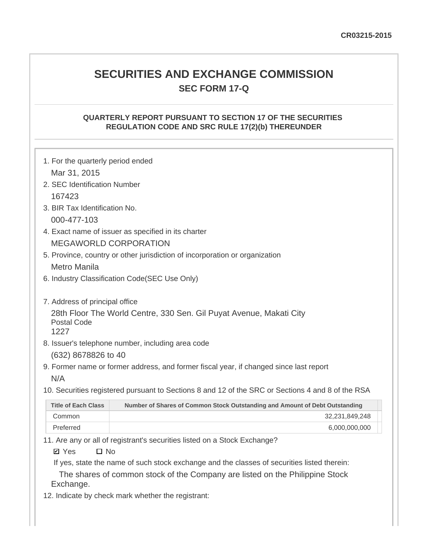# **SECURITIES AND EXCHANGE COMMISSION SEC FORM 17-Q**

#### **QUARTERLY REPORT PURSUANT TO SECTION 17 OF THE SECURITIES REGULATION CODE AND SRC RULE 17(2)(b) THEREUNDER**

| 1. For the quarterly period ended |                                                                                                   |
|-----------------------------------|---------------------------------------------------------------------------------------------------|
| Mar 31, 2015                      |                                                                                                   |
| 2. SEC Identification Number      |                                                                                                   |
| 167423                            |                                                                                                   |
| 3. BIR Tax Identification No.     |                                                                                                   |
| 000-477-103                       |                                                                                                   |
|                                   | 4. Exact name of issuer as specified in its charter                                               |
|                                   | <b>MEGAWORLD CORPORATION</b>                                                                      |
|                                   | 5. Province, country or other jurisdiction of incorporation or organization                       |
| Metro Manila                      |                                                                                                   |
|                                   | 6. Industry Classification Code (SEC Use Only)                                                    |
|                                   |                                                                                                   |
| 7. Address of principal office    |                                                                                                   |
| <b>Postal Code</b><br>1227        | 28th Floor The World Centre, 330 Sen. Gil Puyat Avenue, Makati City                               |
|                                   | 8. Issuer's telephone number, including area code                                                 |
| (632) 8678826 to 40               |                                                                                                   |
|                                   | 9. Former name or former address, and former fiscal year, if changed since last report            |
| N/A                               |                                                                                                   |
|                                   | 10. Securities registered pursuant to Sections 8 and 12 of the SRC or Sections 4 and 8 of the RSA |
| <b>Title of Each Class</b>        | Number of Shares of Common Stock Outstanding and Amount of Debt Outstanding                       |
| Common                            | 32,231,849,248                                                                                    |
| Preferred                         | 6,000,000,000                                                                                     |

11. Are any or all of registrant's securities listed on a Stock Exchange?

 $\square$  No **Ø** Yes

If yes, state the name of such stock exchange and the classes of securities listed therein:

The shares of common stock of the Company are listed on the Philippine Stock Exchange.

12. Indicate by check mark whether the registrant: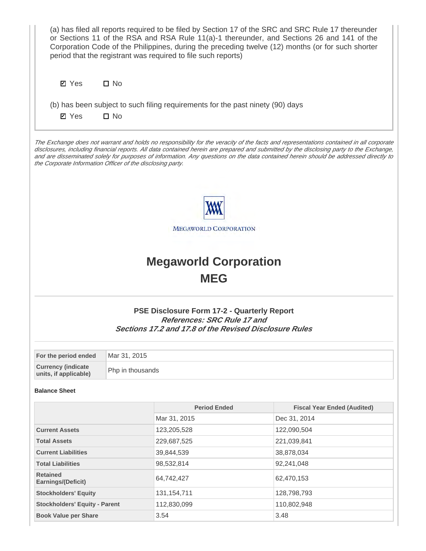|                                                            |                  | period that the registrant was required to file such reports)                                                                                             | (a) has filed all reports required to be filed by Section 17 of the SRC and SRC Rule 17 thereunder<br>or Sections 11 of the RSA and RSA Rule 11(a)-1 thereunder, and Sections 26 and 141 of the<br>Corporation Code of the Philippines, during the preceding twelve (12) months (or for such shorter                                                                                                                     |
|------------------------------------------------------------|------------------|-----------------------------------------------------------------------------------------------------------------------------------------------------------|--------------------------------------------------------------------------------------------------------------------------------------------------------------------------------------------------------------------------------------------------------------------------------------------------------------------------------------------------------------------------------------------------------------------------|
| <b>Ø</b> Yes                                               | $\square$ No     |                                                                                                                                                           |                                                                                                                                                                                                                                                                                                                                                                                                                          |
|                                                            |                  | (b) has been subject to such filing requirements for the past ninety (90) days                                                                            |                                                                                                                                                                                                                                                                                                                                                                                                                          |
| <b>Ø</b> Yes                                               | $\square$ No     |                                                                                                                                                           |                                                                                                                                                                                                                                                                                                                                                                                                                          |
|                                                            |                  |                                                                                                                                                           |                                                                                                                                                                                                                                                                                                                                                                                                                          |
| the Corporate Information Officer of the disclosing party. |                  |                                                                                                                                                           | The Exchange does not warrant and holds no responsibility for the veracity of the facts and representations contained in all corporate<br>disclosures, including financial reports. All data contained herein are prepared and submitted by the disclosing party to the Exchange,<br>and are disseminated solely for purposes of information. Any questions on the data contained herein should be addressed directly to |
|                                                            |                  | <b>MEGAWORLD CORPORATION</b>                                                                                                                              |                                                                                                                                                                                                                                                                                                                                                                                                                          |
|                                                            |                  | <b>Megaworld Corporation</b>                                                                                                                              |                                                                                                                                                                                                                                                                                                                                                                                                                          |
|                                                            |                  | <b>MEG</b>                                                                                                                                                |                                                                                                                                                                                                                                                                                                                                                                                                                          |
|                                                            |                  | <b>PSE Disclosure Form 17-2 - Quarterly Report</b><br><b>References: SRC Rule 17 and</b><br><b>Sections 17.2 and 17.8 of the Revised Disclosure Rules</b> |                                                                                                                                                                                                                                                                                                                                                                                                                          |
| For the period ended                                       | Mar 31, 2015     |                                                                                                                                                           |                                                                                                                                                                                                                                                                                                                                                                                                                          |
| <b>Currency (indicate</b><br>units, if applicable)         | Php in thousands |                                                                                                                                                           |                                                                                                                                                                                                                                                                                                                                                                                                                          |
| <b>Balance Sheet</b>                                       |                  |                                                                                                                                                           |                                                                                                                                                                                                                                                                                                                                                                                                                          |
|                                                            |                  | <b>Period Ended</b>                                                                                                                                       | <b>Fiscal Year Ended (Audited)</b>                                                                                                                                                                                                                                                                                                                                                                                       |
|                                                            |                  | Mar 31, 2015                                                                                                                                              | Dec 31, 2014                                                                                                                                                                                                                                                                                                                                                                                                             |
| <b>Current Assets</b>                                      |                  | 123,205,528                                                                                                                                               | 122,090,504                                                                                                                                                                                                                                                                                                                                                                                                              |
| <b>Total Assets</b>                                        |                  | 229,687,525                                                                                                                                               | 221,039,841                                                                                                                                                                                                                                                                                                                                                                                                              |
| <b>Current Liabilities</b>                                 |                  | 39,844,539                                                                                                                                                | 38,878,034                                                                                                                                                                                                                                                                                                                                                                                                               |
| <b>Total Liabilities</b>                                   |                  | 98,532,814                                                                                                                                                | 92,241,048                                                                                                                                                                                                                                                                                                                                                                                                               |
| <b>Retained</b><br><b>Earnings/(Deficit)</b>               |                  | 64,742,427                                                                                                                                                | 62,470,153                                                                                                                                                                                                                                                                                                                                                                                                               |
| <b>Stockholders' Equity</b>                                |                  | 131, 154, 711                                                                                                                                             | 128,798,793                                                                                                                                                                                                                                                                                                                                                                                                              |
| <b>Stockholders' Equity - Parent</b>                       |                  | 112,830,099                                                                                                                                               | 110,802,948                                                                                                                                                                                                                                                                                                                                                                                                              |
| <b>Book Value per Share</b>                                |                  | 3.54                                                                                                                                                      | 3.48                                                                                                                                                                                                                                                                                                                                                                                                                     |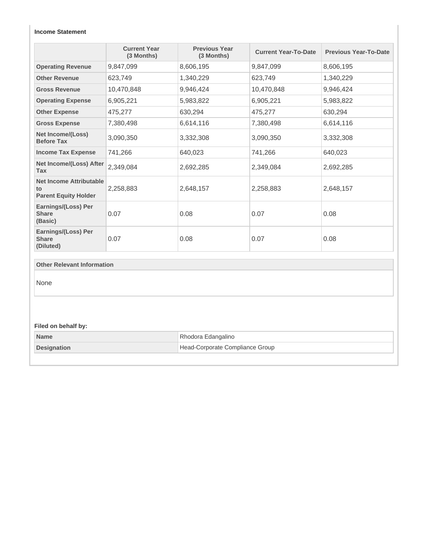#### **Income Statement**

|                                                                     | <b>Current Year</b><br>(3 Months) | <b>Previous Year</b><br>(3 Months) | <b>Current Year-To-Date</b> | <b>Previous Year-To-Date</b> |
|---------------------------------------------------------------------|-----------------------------------|------------------------------------|-----------------------------|------------------------------|
| <b>Operating Revenue</b>                                            | 9,847,099                         | 8,606,195                          | 9,847,099                   | 8,606,195                    |
| <b>Other Revenue</b>                                                | 623,749                           | 1,340,229                          | 623,749                     | 1,340,229                    |
| <b>Gross Revenue</b>                                                | 10,470,848                        | 9,946,424                          | 10,470,848                  | 9,946,424                    |
| <b>Operating Expense</b>                                            | 6,905,221                         | 5,983,822                          | 6,905,221                   | 5,983,822                    |
| <b>Other Expense</b>                                                | 475,277                           | 630,294                            | 475,277                     | 630,294                      |
| <b>Gross Expense</b>                                                | 7,380,498                         | 6,614,116                          | 7,380,498                   | 6,614,116                    |
| Net Income/(Loss)<br><b>Before Tax</b>                              | 3,090,350                         | 3,332,308                          | 3,090,350                   | 3,332,308                    |
| <b>Income Tax Expense</b>                                           | 741,266                           | 640,023                            | 741,266                     | 640,023                      |
| Net Income/(Loss) After<br><b>Tax</b>                               | 2,349,084                         | 2,692,285                          | 2,349,084                   | 2,692,285                    |
| <b>Net Income Attributable</b><br>to<br><b>Parent Equity Holder</b> | 2,258,883                         | 2,648,157                          | 2,258,883                   | 2,648,157                    |
| Earnings/(Loss) Per<br><b>Share</b><br>(Basic)                      | 0.07                              | 0.08                               | 0.07                        | 0.08                         |
| Earnings/(Loss) Per<br><b>Share</b><br>(Diluted)                    | 0.07                              | 0.08                               | 0.07                        | 0.08                         |
| <b>Other Relevant Information</b>                                   |                                   |                                    |                             |                              |
| None                                                                |                                   |                                    |                             |                              |
| Filed on behalf by:                                                 |                                   |                                    |                             |                              |
| <b>Name</b>                                                         |                                   | Rhodora Edangalino                 |                             |                              |
| <b>Designation</b>                                                  |                                   | Head-Corporate Compliance Group    |                             |                              |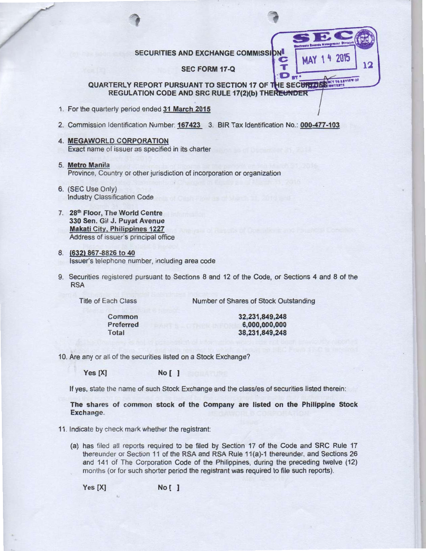SECURITIES AND EXCHANGE COMMISSION

SEC FORM 17-Q

## QUARTERLY REPORT PURSUANT TO SECTION 17 OF THE SECURITIES REGULATION CODE AND SRC RULE 17(2)(b) THEREUNDER

- 1. For the quarterly period ended 31 March 2015
- 2. Commission Identification Number: 167423 3. BIR Tax Identification No.: 000-477-103
- 4. MEGAWORLD CORPORATION Exact name of issuer as specified in its charter
- 5. Metro Manila Province, Country or other jurisdiction of incorporation or organization
- 6. (SEC Use Only) Industry Classification Code
- 7. 28<sup>th</sup> Floor, The World Centre 330 Sen. Gil J. Puyat Avenue Makati City, Philippines 1227 Address of issuer's principal office
- 8. (632) 867-8826 to 40 Issuer's telephone number, including area code
- 9. Securities registered pursuant to Sections 8 and 12 of the Code, or Sections 4 and 8 of the RSA

Title of Each Class

Number of Shares of Stock Outstanding

Common Preferred Total

32,231 ,849,248 6,000,000,000 38,231,849,248 12

4 2015

MAY

Т  $D_{\text{ST}}$ 

10. Are any or all of the securities listed on a Stock Exchange?

Yes [X] No [ ]

If yes, state the name of such Stock Exchange and the class/es of securities listed therein:

The shares of common stock of the Company are listed on the Philippine Stock Exchange.

11 . Indicate by check mark whether the registrant:

(a) has filed all reports required to be filed by Section 17 of the Code and SRC Rule 17 thereunder or Section 11 of the RSA and RSA Rule 11 (a)-1 thereunder, and Sections 26 and 141 of The Corporation Code of the Philippines, during the preceding twelve (12) months (or for such shorter period the registrant was required to file such reports).

Yes [X] No [ ]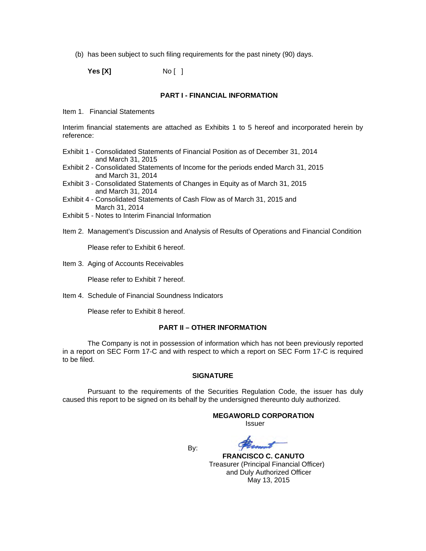(b) has been subject to such filing requirements for the past ninety (90) days.

**Yes [X]** No [ ]

#### **PART I - FINANCIAL INFORMATION**

Item 1. Financial Statements

Interim financial statements are attached as Exhibits 1 to 5 hereof and incorporated herein by reference:

- Exhibit 1 Consolidated Statements of Financial Position as of December 31, 2014 and March 31, 2015
- Exhibit 2 Consolidated Statements of Income for the periods ended March 31, 2015 and March 31, 2014
- Exhibit 3 Consolidated Statements of Changes in Equity as of March 31, 2015 and March 31, 2014
- Exhibit 4 Consolidated Statements of Cash Flow as of March 31, 2015 and March 31, 2014
- Exhibit 5 Notes to Interim Financial Information
- Item 2. Management's Discussion and Analysis of Results of Operations and Financial Condition

Please refer to Exhibit 6 hereof.

Item 3. Aging of Accounts Receivables

Please refer to Exhibit 7 hereof.

Item 4. Schedule of Financial Soundness Indicators

Please refer to Exhibit 8 hereof.

#### **PART II – OTHER INFORMATION**

The Company is not in possession of information which has not been previously reported in a report on SEC Form 17-C and with respect to which a report on SEC Form 17-C is required to be filed.

#### **SIGNATURE**

Pursuant to the requirements of the Securities Regulation Code, the issuer has duly caused this report to be signed on its behalf by the undersigned thereunto duly authorized.

#### **MEGAWORLD CORPORATION**

*<u>Issuer</u> Issuer Issuer* 

**By: By:** 

 **FRANCISCO C. CANUTO** Treasurer (Principal Financial Officer) and Duly Authorized Officer May 13, 2015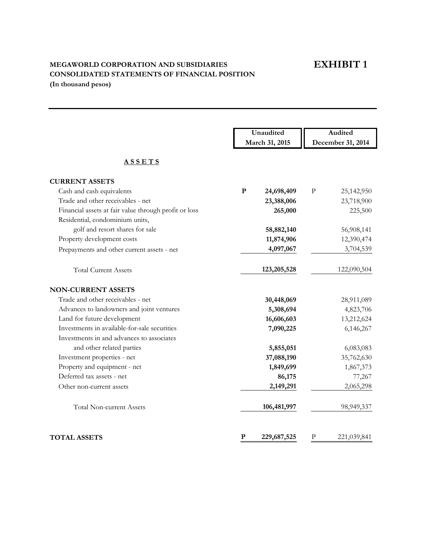## **EXHIBIT 1**

## **MEGAWORLD CORPORATION AND SUBSIDIARIES CONSOLIDATED STATEMENTS OF FINANCIAL POSITION (In thousand pesos)**

|                                                       | Unaudited               | Audited                    |
|-------------------------------------------------------|-------------------------|----------------------------|
|                                                       | March 31, 2015          | December 31, 2014          |
| <b>ASSETS</b>                                         |                         |                            |
| <b>CURRENT ASSETS</b>                                 |                         |                            |
| Cash and cash equivalents                             | ${\bf P}$<br>24,698,409 | $\mathbf{P}$<br>25,142,950 |
| Trade and other receivables - net                     | 23,388,006              | 23,718,900                 |
| Financial assets at fair value through profit or loss | 265,000                 | 225,500                    |
| Residential, condominium units,                       |                         |                            |
| golf and resort shares for sale                       | 58,882,140              | 56,908,141                 |
| Property development costs                            | 11,874,906              | 12,390,474                 |
| Prepayments and other current assets - net            | 4,097,067               | 3,704,539                  |
| <b>Total Current Assets</b>                           | 123,205,528             | 122,090,504                |
| <b>NON-CURRENT ASSETS</b>                             |                         |                            |
| Trade and other receivables - net                     | 30,448,069              | 28,911,089                 |
| Advances to landowners and joint ventures             | 5,308,694               | 4,823,706                  |
| Land for future development                           | 16,606,603              | 13,212,624                 |
| Investments in available-for-sale securities          | 7,090,225               | 6,146,267                  |
| Investments in and advances to associates             |                         |                            |
| and other related parties                             | 5,855,051               | 6,083,083                  |
| Investment properties - net                           | 37,088,190              | 35,762,630                 |
| Property and equipment - net                          | 1,849,699               | 1,867,373                  |
| Deferred tax assets - net                             | 86,175                  | 77,267                     |
| Other non-current assets                              | 2,149,291               | 2,065,298                  |
| <b>Total Non-current Assets</b>                       | 106,481,997             | 98,949,337                 |
| <b>TOTAL ASSETS</b>                                   | P<br>229,687,525        | P<br>221,039,841           |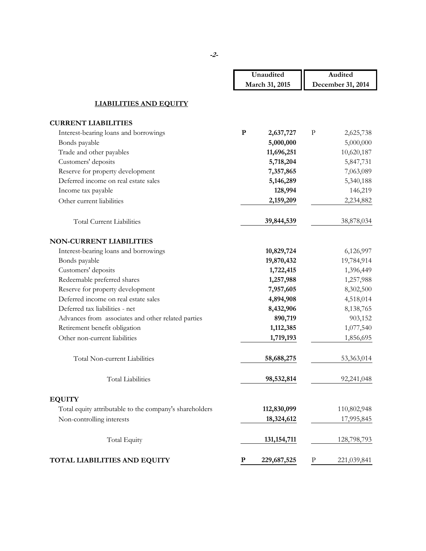|                                                         | Unaudited                | Audited                  |
|---------------------------------------------------------|--------------------------|--------------------------|
|                                                         | March 31, 2015           | December 31, 2014        |
|                                                         |                          |                          |
| <b>LIABILITIES AND EQUITY</b>                           |                          |                          |
| <b>CURRENT LIABILITIES</b>                              |                          |                          |
| Interest-bearing loans and borrowings                   | ${\bf P}$<br>2,637,727   | $\mathbf P$<br>2,625,738 |
| Bonds payable                                           | 5,000,000                | 5,000,000                |
| Trade and other payables                                | 11,696,251               | 10,620,187               |
| Customers' deposits                                     | 5,718,204                | 5,847,731                |
| Reserve for property development                        | 7,357,865                | 7,063,089                |
| Deferred income on real estate sales                    | 5,146,289                | 5,340,188                |
| Income tax payable                                      | 128,994                  | 146,219                  |
| Other current liabilities                               | 2,159,209                | 2,234,882                |
| <b>Total Current Liabilities</b>                        | 39,844,539               | 38,878,034               |
| <b>NON-CURRENT LIABILITIES</b>                          |                          |                          |
| Interest-bearing loans and borrowings                   | 10,829,724               | 6,126,997                |
| Bonds payable                                           | 19,870,432               | 19,784,914               |
| Customers' deposits                                     | 1,722,415                | 1,396,449                |
| Redeemable preferred shares                             | 1,257,988                | 1,257,988                |
| Reserve for property development                        | 7,957,605                | 8,302,500                |
| Deferred income on real estate sales                    | 4,894,908                | 4,518,014                |
| Deferred tax liabilities - net                          | 8,432,906                | 8,138,765                |
| Advances from associates and other related parties      | 890,719                  | 903,152                  |
| Retirement benefit obligation                           | 1,112,385                | 1,077,540                |
| Other non-current liabilities                           | 1,719,193                | 1,856,695                |
| Total Non-current Liabilities                           | 58,688,275               | 53,363,014               |
| <b>Total Liabilities</b>                                | 98,532,814               | 92,241,048               |
| <b>EQUITY</b>                                           |                          |                          |
| Total equity attributable to the company's shareholders | 112,830,099              | 110,802,948              |
| Non-controlling interests                               | 18,324,612               | 17,995,845               |
| <b>Total Equity</b>                                     | 131, 154, 711            | 128,798,793              |
| TOTAL LIABILITIES AND EQUITY                            | ${\bf P}$<br>229,687,525 | $\rm P$<br>221,039,841   |

**-2-**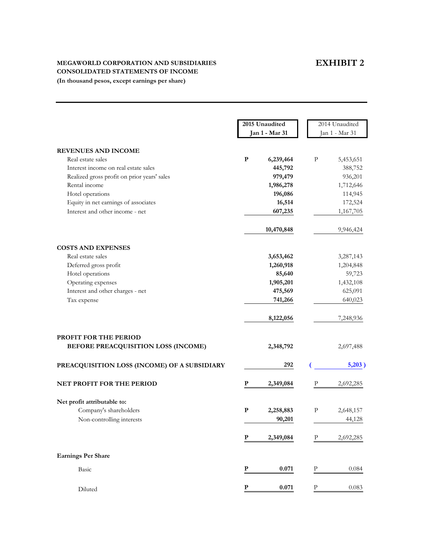## **EXHIBIT 2**

#### **MEGAWORLD CORPORATION AND SUBSIDIARIES CONSOLIDATED STATEMENTS OF INCOME**

**(In thousand pesos, except earnings per share)**

|                                              | 2015 Unaudited       | 2014 Unaudited           |
|----------------------------------------------|----------------------|--------------------------|
|                                              | Jan 1 - Mar 31       | Jan 1 - Mar 31           |
| <b>REVENUES AND INCOME</b>                   |                      |                          |
| Real estate sales                            | P<br>6,239,464       | P<br>5,453,651           |
| Interest income on real estate sales         | 445,792              | 388,752                  |
| Realized gross profit on prior years' sales  | 979,479              | 936,201                  |
| Rental income                                | 1,986,278            | 1,712,646                |
| Hotel operations                             | 196,086              | 114,945                  |
| Equity in net earnings of associates         | 16,514               | 172,524                  |
| Interest and other income - net              | 607,235              | 1,167,705                |
|                                              |                      |                          |
|                                              | 10,470,848           | 9,946,424                |
| <b>COSTS AND EXPENSES</b>                    |                      |                          |
| Real estate sales                            | 3,653,462            | 3,287,143                |
| Deferred gross profit                        | 1,260,918            | 1,204,848                |
| Hotel operations                             | 85,640               | 59,723                   |
| Operating expenses                           | 1,905,201            | 1,432,108                |
| Interest and other charges - net             | 475,569              | 625,091                  |
| Tax expense                                  | 741,266              | 640,023                  |
|                                              | 8,122,056            | 7,248,936                |
| PROFIT FOR THE PERIOD                        |                      |                          |
| BEFORE PREACQUISITION LOSS (INCOME)          | 2,348,792            | 2,697,488                |
| PREACQUISITION LOSS (INCOME) OF A SUBSIDIARY | 292                  | 5,203)                   |
| <b>NET PROFIT FOR THE PERIOD</b>             | P<br>2,349,084       | 2,692,285<br>Р           |
| Net profit attributable to:                  |                      |                          |
| Company's shareholders                       | P<br>2,258,883       | $\mathbf p$<br>2,648,157 |
| Non-controlling interests                    | 90,201               | 44,128                   |
|                                              |                      |                          |
|                                              | P<br>2,349,084       | 2,692,285<br>Р           |
| <b>Earnings Per Share</b>                    |                      |                          |
| Basic                                        | 0.071<br>P           | Ρ<br>0.084               |
| Diluted                                      | $\mathbf P$<br>0.071 | $\rm P$<br>0.083         |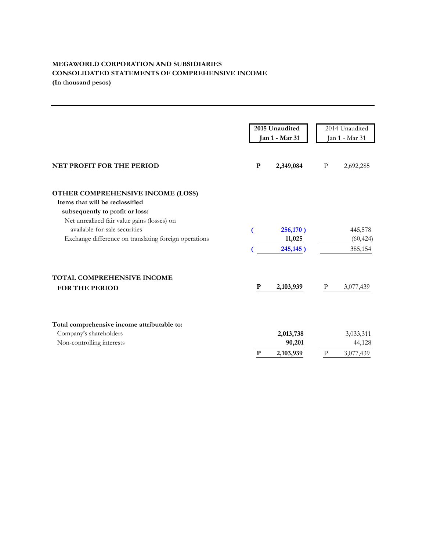#### **MEGAWORLD CORPORATION AND SUBSIDIARIES CONSOLIDATED STATEMENTS OF COMPREHENSIVE INCOME (In thousand pesos)**

|                                                                                                                                                                                                                                                  |   | 2015 Unaudited<br>Jan 1 - Mar 31 |   | 2014 Unaudited<br>Jan 1 - Mar 31 |
|--------------------------------------------------------------------------------------------------------------------------------------------------------------------------------------------------------------------------------------------------|---|----------------------------------|---|----------------------------------|
| <b>NET PROFIT FOR THE PERIOD</b>                                                                                                                                                                                                                 | P | 2,349,084                        | P | 2,692,285                        |
| OTHER COMPREHENSIVE INCOME (LOSS)<br>Items that will be reclassified<br>subsequently to profit or loss:<br>Net unrealized fair value gains (losses) on<br>available-for-sale securities<br>Exchange difference on translating foreign operations |   | 256,170)<br>11,025<br>245,145)   |   | 445,578<br>(60, 424)<br>385,154  |
| TOTAL COMPREHENSIVE INCOME<br><b>FOR THE PERIOD</b>                                                                                                                                                                                              | P | 2,103,939                        | P | 3,077,439                        |
| Total comprehensive income attributable to:<br>Company's shareholders<br>Non-controlling interests                                                                                                                                               | P | 2,013,738<br>90,201<br>2,103,939 | P | 3,033,311<br>44,128<br>3,077,439 |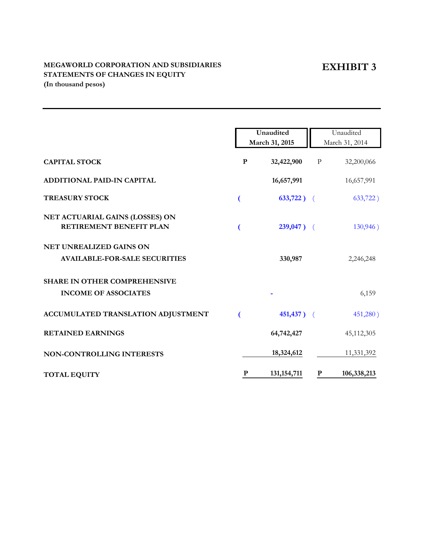## **EXHIBIT 3**

### **MEGAWORLD CORPORATION AND SUBSIDIARIES STATEMENTS OF CHANGES IN EQUITY (In thousand pesos)**

|                                                                    |              | Unaudited<br>March 31, 2015 |              | Unaudited<br>March 31, 2014 |
|--------------------------------------------------------------------|--------------|-----------------------------|--------------|-----------------------------|
| <b>CAPITAL STOCK</b>                                               | $\mathbf{P}$ | 32,422,900                  | $\, {\bf p}$ | 32,200,066                  |
| ADDITIONAL PAID-IN CAPITAL                                         |              | 16,657,991                  |              | 16,657,991                  |
| <b>TREASURY STOCK</b>                                              |              | $633,722$ ) (               |              | 633,722)                    |
| NET ACTUARIAL GAINS (LOSSES) ON<br>RETIREMENT BENEFIT PLAN         |              | $239,047$ ) (               |              | 130,946)                    |
| NET UNREALIZED GAINS ON<br><b>AVAILABLE-FOR-SALE SECURITIES</b>    |              | 330,987                     |              | 2,246,248                   |
| <b>SHARE IN OTHER COMPREHENSIVE</b><br><b>INCOME OF ASSOCIATES</b> |              |                             |              | 6,159                       |
| ACCUMULATED TRANSLATION ADJUSTMENT                                 |              | $451,437$ ) (               |              | 451,280)                    |
| <b>RETAINED EARNINGS</b>                                           |              | 64,742,427                  |              | 45,112,305                  |
| NON-CONTROLLING INTERESTS                                          |              | 18,324,612                  |              | 11,331,392                  |
| <b>TOTAL EQUITY</b>                                                | P            | 131, 154, 711               | $\mathbf{P}$ | 106,338,213                 |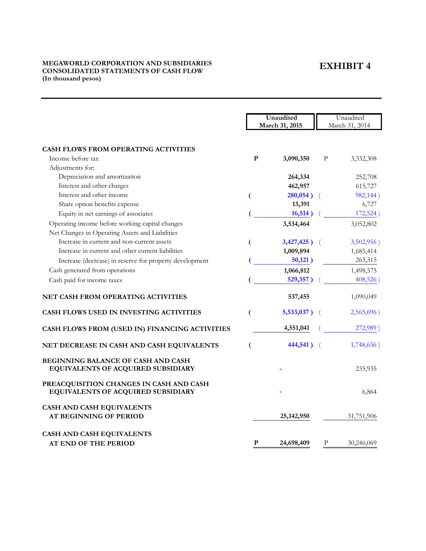## **EXHIBIT 4**

#### **MEGAWORLD CORPORATION AND SUBSIDIARIES CONSOLIDATED STATEMENTS OF CASH FLOW (In thousand pesos)**

|                                                                                 |   | Unaudited       |            | Unaudited      |
|---------------------------------------------------------------------------------|---|-----------------|------------|----------------|
|                                                                                 |   | March 31, 2015  |            | March 31, 2014 |
|                                                                                 |   |                 |            |                |
| <b>CASH FLOWS FROM OPERATING ACTIVITIES</b>                                     |   |                 |            |                |
| Income before tax                                                               | P | 3,090,350       | P          | 3,332,308      |
| Adjustments for:                                                                |   |                 |            |                |
| Depreciation and amortization                                                   |   | 264,334         |            | 252,708        |
| Interest and other charges                                                      |   | 462,957         |            | 615,727        |
| Interest and other income                                                       |   | $280,054$ ) (   |            | 982,144)       |
| Share option benefits expense                                                   |   | 13,391          |            | 6,727          |
| Equity in net earnings of associates                                            |   | 16,514)         |            | 172,524)       |
| Operating income before working capital changes                                 |   | 3,534,464       |            | 3,052,802      |
| Net Changes in Operating Assets and Liabilities                                 |   |                 |            |                |
| Increase in current and non-current assets                                      |   | $3,427,425$ ) ( |            | 3,502,956)     |
| Increase in current and other current liabilities                               |   | 1,009,894       |            | 1,685,414      |
| Increase (decrease) in reserve for property development                         |   | 50,121)         |            | 263,315        |
| Cash generated from operations                                                  |   | 1,066,812       |            | 1,498,575      |
| Cash paid for income taxes                                                      |   | 529,357)        |            | 408,526)       |
| NET CASH FROM OPERATING ACTIVITIES                                              |   | 537,455         |            | 1,090,049      |
| <b>CASH FLOWS USED IN INVESTING ACTIVITIES</b>                                  |   | $5,533,037$ )   |            | 2,565,696)     |
| CASH FLOWS FROM (USED IN) FINANCING ACTIVITIES                                  |   | 4,551,041       |            | 272,989)       |
| NET DECREASE IN CASH AND CASH EQUIVALENTS                                       |   | 444,541)        | $\sqrt{2}$ | 1,748,636)     |
| <b>BEGINNING BALANCE OF CASH AND CASH</b><br>EQUIVALENTS OF ACQUIRED SUBSIDIARY |   |                 |            | 235,935        |
| PREACQUISITION CHANGES IN CASH AND CASH<br>EQUIVALENTS OF ACQUIRED SUBSIDIARY   |   |                 |            | 6,864          |
| CASH AND CASH EQUIVALENTS                                                       |   |                 |            |                |
| <b>AT BEGINNING OF PERIOD</b>                                                   |   | 25, 142, 950    |            | 31,751,906     |
| CASH AND CASH EQUIVALENTS                                                       |   |                 |            |                |
| <b>AT END OF THE PERIOD</b>                                                     | P | 24,698,409      | P          | 30,246,069     |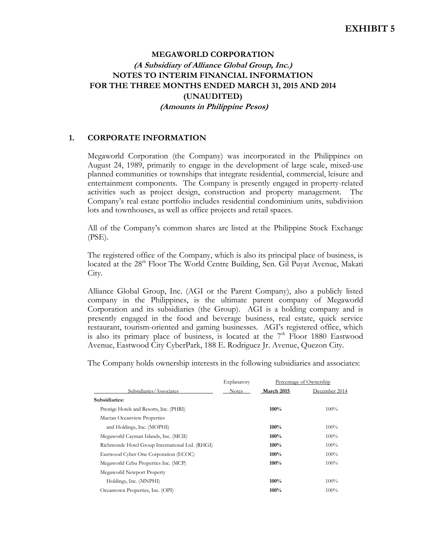## **MEGAWORLD CORPORATION (A Subsidiary of Alliance Global Group, Inc.) NOTES TO INTERIM FINANCIAL INFORMATION FOR THE THREE MONTHS ENDED MARCH 31, 2015 AND 2014 (UNAUDITED) (Amounts in Philippine Pesos)**

## **1. CORPORATE INFORMATION**

 Megaworld Corporation (the Company) was incorporated in the Philippines on August 24, 1989, primarily to engage in the development of large scale, mixed-use planned communities or townships that integrate residential, commercial, leisure and entertainment components. The Company is presently engaged in property-related activities such as project design, construction and property management. The Company's real estate portfolio includes residential condominium units, subdivision lots and townhouses, as well as office projects and retail spaces.

All of the Company's common shares are listed at the Philippine Stock Exchange (PSE).

The registered office of the Company, which is also its principal place of business, is located at the 28<sup>th</sup> Floor The World Centre Building, Sen. Gil Puyat Avenue, Makati City.

 Alliance Global Group, Inc. (AGI or the Parent Company), also a publicly listed company in the Philippines, is the ultimate parent company of Megaworld Corporation and its subsidiaries (the Group). AGI is a holding company and is presently engaged in the food and beverage business, real estate, quick service restaurant, tourism-oriented and gaming businesses. AGI's registered office, which is also its primary place of business, is located at the  $7<sup>th</sup>$  Floor 1880 Eastwood Avenue, Eastwood City CyberPark, 188 E. Rodriguez Jr. Avenue, Quezon City.

The Company holds ownership interests in the following subsidiaries and associates:

| March 2015 | December 2014 |
|------------|---------------|
|            |               |
|            |               |
| 100%       | 100%          |
|            |               |
| 100%       | 100%          |
| 100%       | 100%          |
| 100%       | 100%          |
| 100%       | 100%          |
| 100%       | 100%          |
|            |               |
| 100%       | 100%          |
| 100%       | 100%          |
|            |               |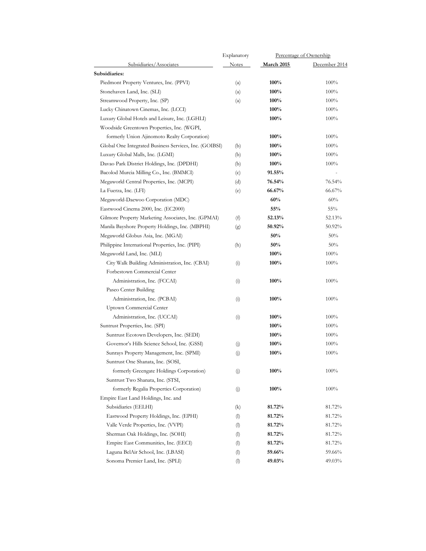|                                                        | Explanatory               |                   | Percentage of Ownership |
|--------------------------------------------------------|---------------------------|-------------------|-------------------------|
| Subsidiaries/Associates                                | <b>Notes</b>              | <b>March 2015</b> | December 2014           |
| Subsidiaries:                                          |                           |                   |                         |
| Piedmont Property Ventures, Inc. (PPVI)                | $\left( \text{a} \right)$ | 100%              | 100%                    |
| Stonehaven Land, Inc. (SLI)                            | $\left( \text{a} \right)$ | $100\%$           | 100%                    |
| Streamwood Property, Inc. (SP)                         | (a)                       | $100\%$           | 100%                    |
| Lucky Chinatown Cinemas, Inc. (LCCI)                   |                           | $100\%$           | 100%                    |
| Luxury Global Hotels and Leisure, Inc. (LGHLI)         |                           | $100\%$           | 100%                    |
| Woodside Greentown Properties, Inc. (WGPI,             |                           |                   |                         |
| formerly Union Ajinomoto Realty Corporation)           |                           | 100%              | 100%                    |
| Global One Integrated Business Services, Inc. (GOIBSI) | (b)                       | $100\%$           | 100%                    |
| Luxury Global Malls, Inc. (LGMI)                       | (b)                       | 100%              | 100%                    |
| Davao Park District Holdings, Inc. (DPDHI)             | (b)                       | $100\%$           | 100%                    |
| Bacolod Murcia Milling Co., Inc. (BMMCI)               | (c)                       | $91.55\%$         | $\sim$                  |
| Megaworld Central Properties, Inc. (MCPI)              | (d)                       | 76.54%            | 76.54%                  |
| La Fuerza, Inc. (LFI)                                  | (e)                       | 66.67%            | 66.67%                  |
| Megaworld-Daewoo Corporation (MDC)                     |                           | 60%               | 60%                     |
| Eastwood Cinema 2000, Inc. (EC2000)                    |                           | 55%               | $55\%$                  |
| Gilmore Property Marketing Associates, Inc. (GPMAI)    |                           | 52.13%            | 52.13%                  |
| Manila Bayshore Property Holdings, Inc. (MBPHI)        | (f)                       | 50.92%            | $50.92\%$               |
|                                                        | (g)                       | $50\%$            | 50%                     |
| Megaworld Globus Asia, Inc. (MGAI)                     |                           |                   | 50%                     |
| Philippine International Properties, Inc. (PIPI)       | (h)                       | 50%               |                         |
| Megaworld Land, Inc. (MLI)                             |                           | 100%              | 100%                    |
| City Walk Building Administration, Inc. (CBAI)         | (i)                       | $100\%$           | 100%                    |
| Forbestown Commercial Center                           |                           |                   |                         |
| Administration, Inc. (FCCAI)                           | (i)                       | 100%              | 100%                    |
| Paseo Center Building                                  |                           |                   |                         |
| Administration, Inc. (PCBAI)                           | (i)                       | 100%              | 100%                    |
| Uptown Commercial Center                               |                           |                   |                         |
| Administration, Inc. (UCCAI)                           | (i)                       | $100\%$           | 100%                    |
| Suntrust Properties, Inc. (SPI)                        |                           | 100%              | $100\%$                 |
| Suntrust Ecotown Developers, Inc. (SEDI)               |                           | $100\%$           | 100%                    |
| Governor's Hills Science School, Inc. (GSSI)           | (j)                       | $100\%$           | 100%                    |
| Sunrays Property Management, Inc. (SPMI)               | (j)                       | $100\%$           | 100%                    |
| Suntrust One Shanata, Inc. (SOSI,                      |                           |                   |                         |
| formerly Greengate Holdings Corporation)               | (j)                       | 100%              | $100\%$                 |
| Suntrust Two Shanata, Inc. (STSI,                      |                           |                   |                         |
| formerly Regalia Properties Corporation)               | (j)                       | $100\%$           | 100%                    |
| Empire East Land Holdings, Inc. and                    |                           |                   |                         |
| Subsidiaries (EELHI)                                   | (k)                       | 81.72%            | 81.72%                  |
| Eastwood Property Holdings, Inc. (EPHI)                | (1)                       | 81.72%            | 81.72%                  |
| Valle Verde Properties, Inc. (VVPI)                    | (1)                       | 81.72%            | 81.72%                  |
| Sherman Oak Holdings, Inc. (SOHI)                      | (1)                       | 81.72%            | 81.72%                  |
| Empire East Communities, Inc. (EECI)                   | (1)                       | 81.72%            | 81.72%                  |
| Laguna BelAir School, Inc. (LBASI)                     | (1)                       | 59.66%            | 59.66%                  |
| Sonoma Premier Land, Inc. (SPLI)                       | (1)                       | 49.03%            | $49.03\%$               |
|                                                        |                           |                   |                         |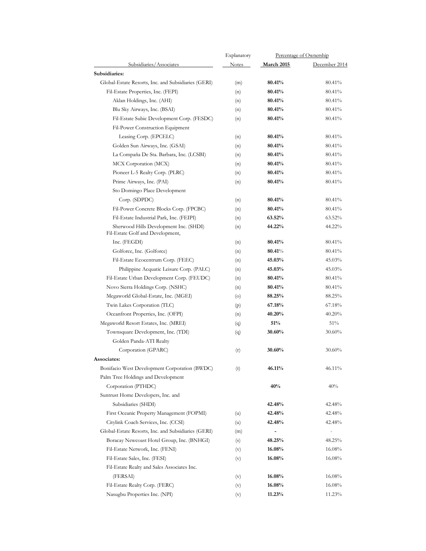|                                                                            | Explanatory                |                   | Percentage of Ownership |
|----------------------------------------------------------------------------|----------------------------|-------------------|-------------------------|
| Subsidiaries/Associates                                                    | Notes                      | <b>March 2015</b> | December 2014           |
| Subsidiaries:                                                              |                            |                   |                         |
| Global-Estate Resorts, Inc. and Subsidiaries (GERI)                        | (m)                        | 80.41%            | 80.41%                  |
| Fil-Estate Properties, Inc. (FEPI)                                         | (n)                        | 80.41%            | 80.41%                  |
| Aklan Holdings, Inc. (AHI)                                                 | (n)                        | 80.41%            | 80.41%                  |
| Blu Sky Airways, Inc. (BSAI)                                               | (n)                        | 80.41%            | 80.41%                  |
| Fil-Estate Subic Development Corp. (FESDC)                                 | (n)                        | 80.41%            | 80.41%                  |
| Fil-Power Construction Equipment                                           |                            |                   |                         |
| Leasing Corp. (EPCELC)                                                     | (n)                        | 80.41%            | 80.41%                  |
| Golden Sun Airways, Inc. (GSAI)                                            | (n)                        | 80.41%            | 80.41%                  |
| La Compaña De Sta. Barbara, Inc. (LCSBI)                                   | (n)                        | 80.41%            | 80.41%                  |
| MCX Corporation (MCX)                                                      | (n)                        | 80.41%            | 80.41%                  |
| Pioneer L-5 Realty Corp. (PLRC)                                            | (n)                        | 80.41%            | 80.41%                  |
| Prime Airways, Inc. (PAI)                                                  | (n)                        | 80.41%            | 80.41%                  |
| Sto Domingo Place Development                                              |                            |                   |                         |
|                                                                            |                            | 80.41%            | 80.41%                  |
| Corp. (SDPDC)                                                              | (n)                        |                   |                         |
| Fil-Power Concrete Blocks Corp. (FPCBC)                                    | (n)                        | 80.41%            | 80.41%                  |
| Fil-Estate Industrial Park, Inc. (FEIPI)                                   | (n)                        | 63.52%            | 63.52%                  |
| Sherwood Hills Development Inc. (SHDI)<br>Fil-Estate Golf and Development, | (n)                        | 44.22%            | 44.22%                  |
| Inc. (FEGDI)                                                               | (n)                        | 80.41%            | 80.41%                  |
| Golforce, Inc. (Golforce)                                                  | (n)                        | 80.41%            | 80.41%                  |
| Fil-Estate Ecocentrum Corp. (FEEC)                                         | (n)                        | 45.03%            | 45.03%                  |
| Philippine Acquatic Leisure Corp. (PALC)                                   | (n)                        | 45.03%            | 45.03%                  |
| Fil-Estate Urban Development Corp. (FEUDC)                                 | (n)                        | 80.41%            | 80.41%                  |
| Novo Sierra Holdings Corp. (NSHC)                                          | (n)                        | 80.41%            | 80.41%                  |
| Megaworld Global-Estate, Inc. (MGEI)                                       | $\left( \mathrm{o}\right)$ | 88.25%            | 88.25%                  |
| Twin Lakes Corporation (TLC)                                               | (p)                        | 67.18%            | 67.18%                  |
| Oceanfront Properties, Inc. (OFPI)                                         | (n)                        | 40.20%            | 40.20%                  |
| Megaworld Resort Estates, Inc. (MREI)                                      | (q)                        | 51%               | 51%                     |
| Townsquare Development, Inc. (TDI)                                         | (q)                        | 30.60%            | $30.60\%$               |
| Golden Panda-ATI Realty                                                    |                            |                   |                         |
| Corporation (GPARC)                                                        | (r)                        | 30.60%            | 30.60%                  |
| <b>Associates:</b>                                                         |                            |                   |                         |
| Bonifacio West Development Corporation (BWDC)                              | (t)                        | 46.11%            | 46.11%                  |
| Palm Tree Holdings and Development                                         |                            |                   |                         |
| Corporation (PTHDC)                                                        |                            | 40%               | 40%                     |
| Suntrust Home Developers, Inc. and                                         |                            |                   |                         |
| Subsidiaries (SHDI)                                                        |                            | 42.48%            | 42.48%                  |
| First Oceanic Property Management (FOPMI)                                  | (u)                        | 42.48%            | 42.48%                  |
| Citylink Coach Services, Inc. (CCSI)                                       | (u)                        | 42.48%            | 42.48%                  |
| Global-Estate Resorts, Inc. and Subsidiaries (GERI)                        | (m)                        | $\sim$ $-$        | $\sim$ $-$              |
| Boracay Newcoast Hotel Group, Inc. (BNHGI)                                 |                            | 48.25%            | $48.25\%$               |
|                                                                            | (s)                        |                   |                         |
| Fil-Estate Network, Inc. (FENI)                                            | (v)                        | 16.08%            | $16.08\%$               |
| Fil-Estate Sales, Inc. (FESI)                                              | (v)                        | 16.08%            | $16.08\%$               |
| Fil-Estate Realty and Sales Associates Inc.                                |                            |                   |                         |
| (FERSAI)                                                                   | (v)                        | 16.08%            | $16.08\%$               |
| Fil-Estate Realty Corp. (FERC)                                             | (v)                        | 16.08%            | $16.08\%$               |
| Nasugbu Properties Inc. (NPI)                                              | (v)                        | 11.23%            | 11.23%                  |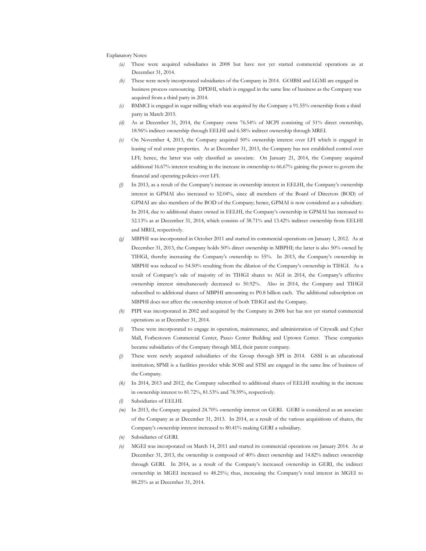#### Explanatory Notes:

- *(a)* These were acquired subsidiaries in 2008 but have not yet started commercial operations as at December 31, 2014.
- *(b)* These were newly incorporated subsidiaries of the Company in 2014. GOIBSI and LGMI are engaged in business process outsourcing. DPDHI, which is engaged in the same line of business as the Company was acquired from a third party in 2014.
- *(c)* BMMCI is engaged in sugar milling which was acquired by the Company a 91.55% ownership from a third party in March 2015.
- *(d)* As at December 31, 2014, the Company owns 76.54% of MCPI consisting of 51% direct ownership, 18.96% indirect ownership through EELHI and 6.58% indirect ownership through MREI.
- *(e)* On November 4, 2013, the Company acquired 50% ownership interest over LFI which is engaged in leasing of real estate properties. As at December 31, 2013, the Company has not established control over LFI; hence, the latter was only classified as associate. On January 21, 2014, the Company acquired additional 16.67% interest resulting in the increase in ownership to 66.67% gaining the power to govern the financial and operating policies over LFI.
- *(f)* In 2013, as a result of the Company's increase in ownership interest in EELHI, the Company's ownership interest in GPMAI also increased to 52.04%, since all members of the Board of Directors (BOD) of GPMAI are also members of the BOD of the Company; hence, GPMAI is now considered as a subsidiary. In 2014, due to additional shares owned in EELHI, the Company's ownership in GPMAI has increased to 52.13% as at December 31, 2014, which consists of 38.71% and 13.42% indirect ownership from EELHI and MREI, respectively.
- *(g)* MBPHI was incorporated in October 2011 and started its commercial operations on January 1, 2012. As at December 31, 2013, the Company holds 50% direct ownership in MBPHI; the latter is also 50% owned by TIHGI, thereby increasing the Company's ownership to 55%. In 2013, the Company's ownership in MBPHI was reduced to 54.50% resulting from the dilution of the Company's ownership in TIHGI. As a result of Company's sale of majority of its TIHGI shares to AGI in 2014, the Company's effective ownership interest simultaneously decreased to 50.92%. Also in 2014, the Company and TIHGI subscribed to additional shares of MBPHI amounting to P0.8 billion each. The additional subscription on MBPHI does not affect the ownership interest of both TIHGI and the Company.
- *(h)* PIPI was incorporated in 2002 and acquired by the Company in 2006 but has not yet started commercial operations as at December 31, 2014.
- *(i)* These were incorporated to engage in operation, maintenance, and administration of Citywalk and Cyber Mall, Forbestown Commercial Center, Paseo Center Building and Uptown Center. These companies became subsidiaries of the Company through MLI, their parent company.
- *(j)* These were newly acquired subsidiaries of the Group through SPI in 2014. GSSI is an educational institution; SPMI is a facilities provider while SOSI and STSI are engaged in the same line of business of the Company.
- *(k)* In 2014, 2013 and 2012, the Company subscribed to additional shares of EELHI resulting in the increase in ownership interest to 81.72%, 81.53% and 78.59%, respectively.
- *(l)* Subsidiaries of EELHI.
- *(m)* In 2013, the Company acquired 24.70% ownership interest on GERI. GERI is considered as an associate of the Company as at December 31, 2013. In 2014, as a result of the various acquisitions of shares, the Company's ownership interest increased to 80.41% making GERI a subsidiary.
- *(n)* Subsidiaries of GERI.
- *(o)* MGEI was incorporated on March 14, 2011 and started its commercial operations on January 2014. As at December 31, 2013, the ownership is composed of 40% direct ownership and 14.82% indirect ownership through GERI. In 2014, as a result of the Company's increased ownership in GERI, the indirect ownership in MGEI increased to 48.25%; thus, increasing the Company's total interest in MGEI to 88.25% as at December 31, 2014.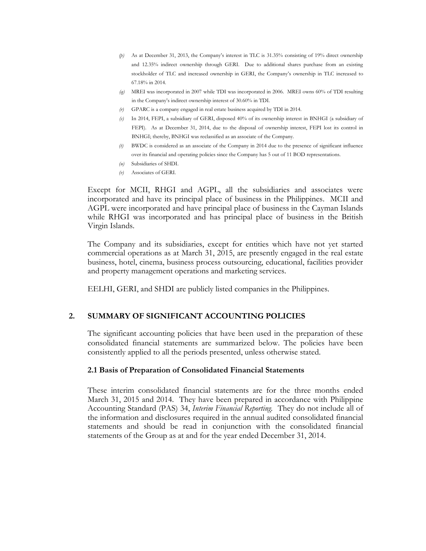- *(p)* As at December 31, 2013, the Company's interest in TLC is 31.35% consisting of 19% direct ownership and 12.35% indirect ownership through GERI. Due to additional shares purchase from an existing stockholder of TLC and increased ownership in GERI, the Company's ownership in TLC increased to 67.18% in 2014.
- *(q)* MREI was incorporated in 2007 while TDI was incorporated in 2006. MREI owns 60% of TDI resulting in the Company's indirect ownership interest of 30.60% in TDI.
- *(r)* GPARC is a company engaged in real estate business acquired by TDI in 2014.
- *(s)* In 2014, FEPI, a subsidiary of GERI, disposed 40% of its ownership interest in BNHGI (a subsidiary of FEPI). As at December 31, 2014, due to the disposal of ownership interest, FEPI lost its control in BNHGI; thereby, BNHGI was reclassified as an associate of the Company.
- *(t)* BWDC is considered as an associate of the Company in 2014 due to the presence of significant influence over its financial and operating policies since the Company has 5 out of 11 BOD representations.
- *(u)* Subsidiaries of SHDI.
- *(v)* Associates of GERI.

Except for MCII, RHGI and AGPL, all the subsidiaries and associates were incorporated and have its principal place of business in the Philippines. MCII and AGPL were incorporated and have principal place of business in the Cayman Islands while RHGI was incorporated and has principal place of business in the British Virgin Islands.

 The Company and its subsidiaries, except for entities which have not yet started commercial operations as at March 31, 2015, are presently engaged in the real estate business, hotel, cinema, business process outsourcing, educational, facilities provider and property management operations and marketing services.

EELHI, GERI, and SHDI are publicly listed companies in the Philippines.

#### **2. SUMMARY OF SIGNIFICANT ACCOUNTING POLICIES**

The significant accounting policies that have been used in the preparation of these consolidated financial statements are summarized below. The policies have been consistently applied to all the periods presented, unless otherwise stated.

#### **2.1 Basis of Preparation of Consolidated Financial Statements**

 These interim consolidated financial statements are for the three months ended March 31, 2015 and 2014. They have been prepared in accordance with Philippine Accounting Standard (PAS) 34, *Interim Financial Reporting.* They do not include all of the information and disclosures required in the annual audited consolidated financial statements and should be read in conjunction with the consolidated financial statements of the Group as at and for the year ended December 31, 2014.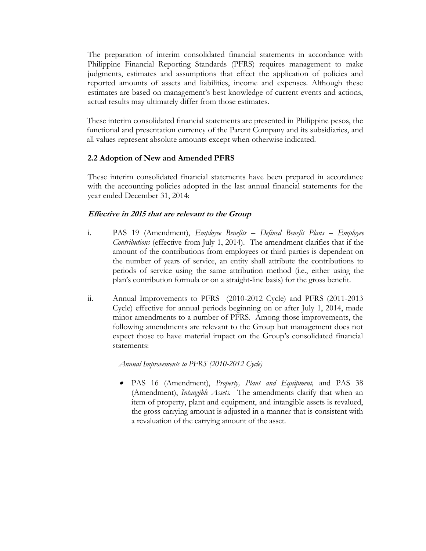The preparation of interim consolidated financial statements in accordance with Philippine Financial Reporting Standards (PFRS) requires management to make judgments, estimates and assumptions that effect the application of policies and reported amounts of assets and liabilities, income and expenses. Although these estimates are based on management's best knowledge of current events and actions, actual results may ultimately differ from those estimates.

These interim consolidated financial statements are presented in Philippine pesos, the functional and presentation currency of the Parent Company and its subsidiaries, and all values represent absolute amounts except when otherwise indicated.

#### **2.2 Adoption of New and Amended PFRS**

These interim consolidated financial statements have been prepared in accordance with the accounting policies adopted in the last annual financial statements for the year ended December 31, 2014:

#### **Effective in 2015 that are relevant to the Group**

- i. PAS 19 (Amendment), *Employee Benefits – Defined Benefit Plans – Employee Contributions* (effective from July 1, 2014). The amendment clarifies that if the amount of the contributions from employees or third parties is dependent on the number of years of service, an entity shall attribute the contributions to periods of service using the same attribution method (i.e., either using the plan's contribution formula or on a straight-line basis) for the gross benefit.
- ii. Annual Improvements to PFRS (2010-2012 Cycle) and PFRS (2011-2013 Cycle) effective for annual periods beginning on or after July 1, 2014, made minor amendments to a number of PFRS. Among those improvements, the following amendments are relevant to the Group but management does not expect those to have material impact on the Group's consolidated financial statements:

*Annual Improvements to PFRS (2010-2012 Cycle)* 

 PAS 16 (Amendment), *Property, Plant and Equipment,* and PAS 38 (Amendment), *Intangible Assets.* The amendments clarify that when an item of property, plant and equipment, and intangible assets is revalued, the gross carrying amount is adjusted in a manner that is consistent with a revaluation of the carrying amount of the asset.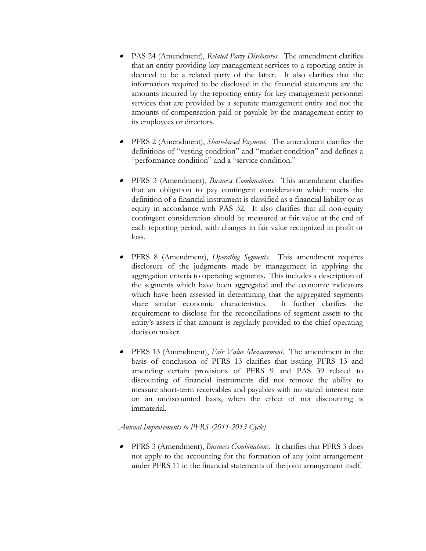- PAS 24 (Amendment), *Related Party Disclosures*. The amendment clarifies that an entity providing key management services to a reporting entity is deemed to be a related party of the latter. It also clarifies that the information required to be disclosed in the financial statements are the amounts incurred by the reporting entity for key management personnel services that are provided by a separate management entity and not the amounts of compensation paid or payable by the management entity to its employees or directors.
- PFRS 2 (Amendment), *Share-based Payment.* The amendment clarifies the definitions of "vesting condition" and "market condition" and defines a "performance condition" and a "service condition."
- PFRS 3 (Amendment), *Business Combinations.* This amendment clarifies that an obligation to pay contingent consideration which meets the definition of a financial instrument is classified as a financial liability or as equity in accordance with PAS 32. It also clarifies that all non-equity contingent consideration should be measured at fair value at the end of each reporting period, with changes in fair value recognized in profit or loss.
- PFRS 8 (Amendment), *Operating Segments.* This amendment requires disclosure of the judgments made by management in applying the aggregation criteria to operating segments. This includes a description of the segments which have been aggregated and the economic indicators which have been assessed in determining that the aggregated segments share similar economic characteristics. It further clarifies the requirement to disclose for the reconciliations of segment assets to the entity's assets if that amount is regularly provided to the chief operating decision maker.
- $\bullet$  PFRS 13 (Amendment), *Fair Value Measurement*. The amendment in the basis of conclusion of PFRS 13 clarifies that issuing PFRS 13 and amending certain provisions of PFRS 9 and PAS 39 related to discounting of financial instruments did not remove the ability to measure short-term receivables and payables with no stated interest rate on an undiscounted basis, when the effect of not discounting is immaterial.

#### *Annual Improvements to PFRS (2011-2013 Cycle)*

 PFRS 3 (Amendment), *Business Combinations*. It clarifies that PFRS 3 does not apply to the accounting for the formation of any joint arrangement under PFRS 11 in the financial statements of the joint arrangement itself.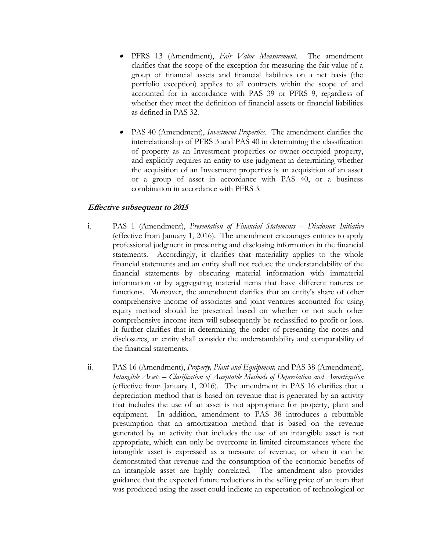- PFRS 13 (Amendment), *Fair Value Measurement*. The amendment clarifies that the scope of the exception for measuring the fair value of a group of financial assets and financial liabilities on a net basis (the portfolio exception) applies to all contracts within the scope of and accounted for in accordance with PAS 39 or PFRS 9, regardless of whether they meet the definition of financial assets or financial liabilities as defined in PAS 32.
- . PAS 40 (Amendment), *Investment Properties*. The amendment clarifies the interrelationship of PFRS 3 and PAS 40 in determining the classification of property as an Investment properties or owner-occupied property, and explicitly requires an entity to use judgment in determining whether the acquisition of an Investment properties is an acquisition of an asset or a group of asset in accordance with PAS 40, or a business combination in accordance with PFRS 3.

#### **Effective subsequent to 2015**

- i. PAS 1 (Amendment), *Presentation of Financial Statements – Disclosure Initiative* (effective from January 1, 2016). The amendment encourages entities to apply professional judgment in presenting and disclosing information in the financial statements. Accordingly, it clarifies that materiality applies to the whole financial statements and an entity shall not reduce the understandability of the financial statements by obscuring material information with immaterial information or by aggregating material items that have different natures or functions. Moreover, the amendment clarifies that an entity's share of other comprehensive income of associates and joint ventures accounted for using equity method should be presented based on whether or not such other comprehensive income item will subsequently be reclassified to profit or loss. It further clarifies that in determining the order of presenting the notes and disclosures, an entity shall consider the understandability and comparability of the financial statements.
- ii. PAS 16 (Amendment), *Property, Plant and Equipment,* and PAS 38 (Amendment), *Intangible Assets – Clarification of Acceptable Methods of Depreciation and Amortization* (effective from January 1, 2016). The amendment in PAS 16 clarifies that a depreciation method that is based on revenue that is generated by an activity that includes the use of an asset is not appropriate for property, plant and equipment. In addition, amendment to PAS 38 introduces a rebuttable presumption that an amortization method that is based on the revenue generated by an activity that includes the use of an intangible asset is not appropriate, which can only be overcome in limited circumstances where the intangible asset is expressed as a measure of revenue, or when it can be demonstrated that revenue and the consumption of the economic benefits of an intangible asset are highly correlated. The amendment also provides guidance that the expected future reductions in the selling price of an item that was produced using the asset could indicate an expectation of technological or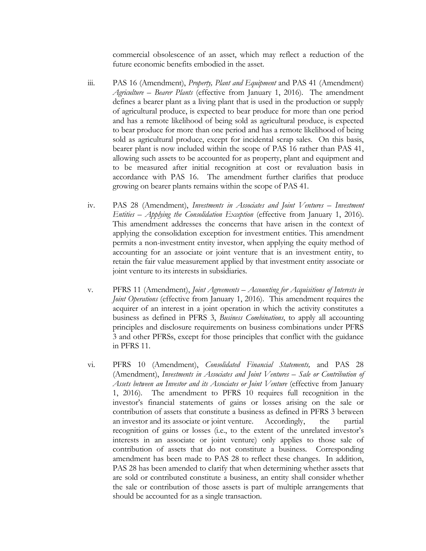commercial obsolescence of an asset, which may reflect a reduction of the future economic benefits embodied in the asset.

- iii. PAS 16 (Amendment), *Property, Plant and Equipment* and PAS 41 (Amendment) *Agriculture – Bearer Plants* (effective from January 1, 2016). The amendment defines a bearer plant as a living plant that is used in the production or supply of agricultural produce, is expected to bear produce for more than one period and has a remote likelihood of being sold as agricultural produce, is expected to bear produce for more than one period and has a remote likelihood of being sold as agricultural produce, except for incidental scrap sales. On this basis, bearer plant is now included within the scope of PAS 16 rather than PAS 41, allowing such assets to be accounted for as property, plant and equipment and to be measured after initial recognition at cost or revaluation basis in accordance with PAS 16. The amendment further clarifies that produce growing on bearer plants remains within the scope of PAS 41.
- iv. PAS 28 (Amendment), *Investments in Associates and Joint Ventures – Investment Entities – Applying the Consolidation Exception* (effective from January 1, 2016). This amendment addresses the concerns that have arisen in the context of applying the consolidation exception for investment entities. This amendment permits a non-investment entity investor, when applying the equity method of accounting for an associate or joint venture that is an investment entity, to retain the fair value measurement applied by that investment entity associate or joint venture to its interests in subsidiaries.
- v. PFRS 11 (Amendment), *Joint Agreements – Accounting for Acquisitions of Interests in Joint Operations* (effective from January 1, 2016). This amendment requires the acquirer of an interest in a joint operation in which the activity constitutes a business as defined in PFRS 3, *Business Combinations*, to apply all accounting principles and disclosure requirements on business combinations under PFRS 3 and other PFRSs, except for those principles that conflict with the guidance in PFRS 11.
- vi. PFRS 10 (Amendment), *Consolidated Financial Statements,* and PAS 28 (Amendment), *Investments in Associates and Joint Ventures – Sale or Contribution of*  Assets between an Investor and its Associates or Joint Venture (effective from January 1, 2016). The amendment to PFRS 10 requires full recognition in the investor's financial statements of gains or losses arising on the sale or contribution of assets that constitute a business as defined in PFRS 3 between an investor and its associate or joint venture. Accordingly, the partial recognition of gains or losses (i.e., to the extent of the unrelated investor's interests in an associate or joint venture) only applies to those sale of contribution of assets that do not constitute a business. Corresponding amendment has been made to PAS 28 to reflect these changes. In addition, PAS 28 has been amended to clarify that when determining whether assets that are sold or contributed constitute a business, an entity shall consider whether the sale or contribution of those assets is part of multiple arrangements that should be accounted for as a single transaction.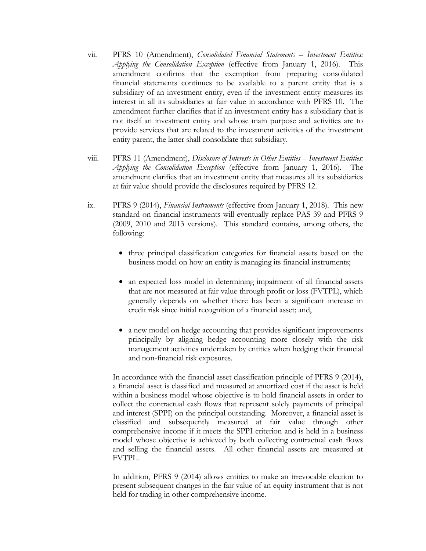- vii. PFRS 10 (Amendment), *Consolidated Financial Statements – Investment Entities: Applying the Consolidation Exception* (effective from January 1, 2016). This amendment confirms that the exemption from preparing consolidated financial statements continues to be available to a parent entity that is a subsidiary of an investment entity, even if the investment entity measures its interest in all its subsidiaries at fair value in accordance with PFRS 10. The amendment further clarifies that if an investment entity has a subsidiary that is not itself an investment entity and whose main purpose and activities are to provide services that are related to the investment activities of the investment entity parent, the latter shall consolidate that subsidiary.
- viii. PFRS 11 (Amendment), *Disclosure of Interests in Other Entities – Investment Entities: Applying the Consolidation Exception* (effective from January 1, 2016). The amendment clarifies that an investment entity that measures all its subsidiaries at fair value should provide the disclosures required by PFRS 12.
- ix. PFRS 9 (2014), *Financial Instruments* (effective from January 1, 2018). This new standard on financial instruments will eventually replace PAS 39 and PFRS 9 (2009, 2010 and 2013 versions). This standard contains, among others, the following:
	- three principal classification categories for financial assets based on the business model on how an entity is managing its financial instruments;
	- an expected loss model in determining impairment of all financial assets that are not measured at fair value through profit or loss (FVTPL), which generally depends on whether there has been a significant increase in credit risk since initial recognition of a financial asset; and,
	- a new model on hedge accounting that provides significant improvements principally by aligning hedge accounting more closely with the risk management activities undertaken by entities when hedging their financial and non-financial risk exposures.

 In accordance with the financial asset classification principle of PFRS 9 (2014), a financial asset is classified and measured at amortized cost if the asset is held within a business model whose objective is to hold financial assets in order to collect the contractual cash flows that represent solely payments of principal and interest (SPPI) on the principal outstanding. Moreover, a financial asset is classified and subsequently measured at fair value through other comprehensive income if it meets the SPPI criterion and is held in a business model whose objective is achieved by both collecting contractual cash flows and selling the financial assets. All other financial assets are measured at FVTPL.

 In addition, PFRS 9 (2014) allows entities to make an irrevocable election to present subsequent changes in the fair value of an equity instrument that is not held for trading in other comprehensive income.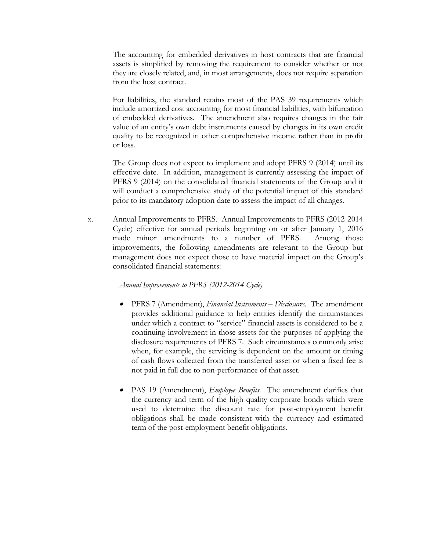The accounting for embedded derivatives in host contracts that are financial assets is simplified by removing the requirement to consider whether or not they are closely related, and, in most arrangements, does not require separation from the host contract.

 For liabilities, the standard retains most of the PAS 39 requirements which include amortized cost accounting for most financial liabilities, with bifurcation of embedded derivatives. The amendment also requires changes in the fair value of an entity's own debt instruments caused by changes in its own credit quality to be recognized in other comprehensive income rather than in profit or loss.

 The Group does not expect to implement and adopt PFRS 9 (2014) until its effective date. In addition, management is currently assessing the impact of PFRS 9 (2014) on the consolidated financial statements of the Group and it will conduct a comprehensive study of the potential impact of this standard prior to its mandatory adoption date to assess the impact of all changes.

x. Annual Improvements to PFRS. Annual Improvements to PFRS (2012-2014 Cycle) effective for annual periods beginning on or after January 1, 2016 made minor amendments to a number of PFRS. Among those improvements, the following amendments are relevant to the Group but management does not expect those to have material impact on the Group's consolidated financial statements:

#### *Annual Improvements to PFRS (2012-2014 Cycle)*

- PFRS 7 (Amendment), *Financial Instruments – Disclosures*. The amendment provides additional guidance to help entities identify the circumstances under which a contract to "service" financial assets is considered to be a continuing involvement in those assets for the purposes of applying the disclosure requirements of PFRS 7. Such circumstances commonly arise when, for example, the servicing is dependent on the amount or timing of cash flows collected from the transferred asset or when a fixed fee is not paid in full due to non-performance of that asset.
- PAS 19 (Amendment), *Employee Benefits*. The amendment clarifies that the currency and term of the high quality corporate bonds which were used to determine the discount rate for post-employment benefit obligations shall be made consistent with the currency and estimated term of the post-employment benefit obligations.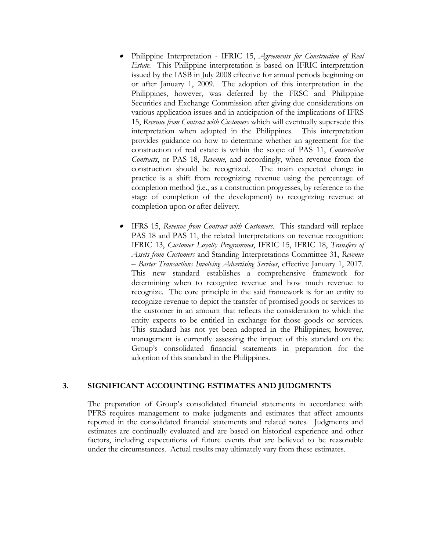- Philippine Interpretation IFRIC 15, *Agreements for Construction of Real Estate*. This Philippine interpretation is based on IFRIC interpretation issued by the IASB in July 2008 effective for annual periods beginning on or after January 1, 2009. The adoption of this interpretation in the Philippines, however, was deferred by the FRSC and Philippine Securities and Exchange Commission after giving due considerations on various application issues and in anticipation of the implications of IFRS 15, *Revenue from Contract with Customers* which will eventually supersede this interpretation when adopted in the Philippines. This interpretation provides guidance on how to determine whether an agreement for the construction of real estate is within the scope of PAS 11, *Construction Contracts*, or PAS 18, *Revenue*, and accordingly, when revenue from the construction should be recognized. The main expected change in practice is a shift from recognizing revenue using the percentage of completion method (i.e., as a construction progresses, by reference to the stage of completion of the development) to recognizing revenue at completion upon or after delivery.
- . IFRS 15, *Revenue from Contract with Customers*. This standard will replace PAS 18 and PAS 11, the related Interpretations on revenue recognition: IFRIC 13, *Customer Loyalty Programmes*, IFRIC 15, IFRIC 18, *Transfers of Assets from Customers* and Standing Interpretations Committee 31, *Revenue – Barter Transactions Involving Advertising Services*, effective January 1, 2017. This new standard establishes a comprehensive framework for determining when to recognize revenue and how much revenue to recognize. The core principle in the said framework is for an entity to recognize revenue to depict the transfer of promised goods or services to the customer in an amount that reflects the consideration to which the entity expects to be entitled in exchange for those goods or services. This standard has not yet been adopted in the Philippines; however, management is currently assessing the impact of this standard on the Group's consolidated financial statements in preparation for the adoption of this standard in the Philippines.

#### **3. SIGNIFICANT ACCOUNTING ESTIMATES AND JUDGMENTS**

The preparation of Group's consolidated financial statements in accordance with PFRS requires management to make judgments and estimates that affect amounts reported in the consolidated financial statements and related notes. Judgments and estimates are continually evaluated and are based on historical experience and other factors, including expectations of future events that are believed to be reasonable under the circumstances. Actual results may ultimately vary from these estimates.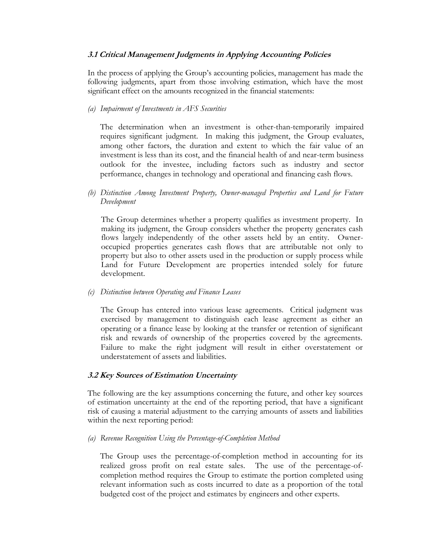#### **3.1 Critical Management Judgments in Applying Accounting Policies**

 In the process of applying the Group's accounting policies, management has made the following judgments, apart from those involving estimation, which have the most significant effect on the amounts recognized in the financial statements:

#### *(a) Impairment of Investments in AFS Securities*

The determination when an investment is other-than-temporarily impaired requires significant judgment. In making this judgment, the Group evaluates, among other factors, the duration and extent to which the fair value of an investment is less than its cost, and the financial health of and near-term business outlook for the investee, including factors such as industry and sector performance, changes in technology and operational and financing cash flows.

*(b) Distinction Among Investment Property, Owner-managed Properties and Land for Future Development*

The Group determines whether a property qualifies as investment property. In making its judgment, the Group considers whether the property generates cash flows largely independently of the other assets held by an entity. Owneroccupied properties generates cash flows that are attributable not only to property but also to other assets used in the production or supply process while Land for Future Development are properties intended solely for future development.

#### *(c) Distinction between Operating and Finance Leases*

The Group has entered into various lease agreements. Critical judgment was exercised by management to distinguish each lease agreement as either an operating or a finance lease by looking at the transfer or retention of significant risk and rewards of ownership of the properties covered by the agreements. Failure to make the right judgment will result in either overstatement or understatement of assets and liabilities.

#### **3.2 Key Sources of Estimation Uncertainty**

The following are the key assumptions concerning the future, and other key sources of estimation uncertainty at the end of the reporting period, that have a significant risk of causing a material adjustment to the carrying amounts of assets and liabilities within the next reporting period:

#### *(a) Revenue Recognition Using the Percentage-of-Completion Method*

The Group uses the percentage-of-completion method in accounting for its realized gross profit on real estate sales. The use of the percentage-ofcompletion method requires the Group to estimate the portion completed using relevant information such as costs incurred to date as a proportion of the total budgeted cost of the project and estimates by engineers and other experts.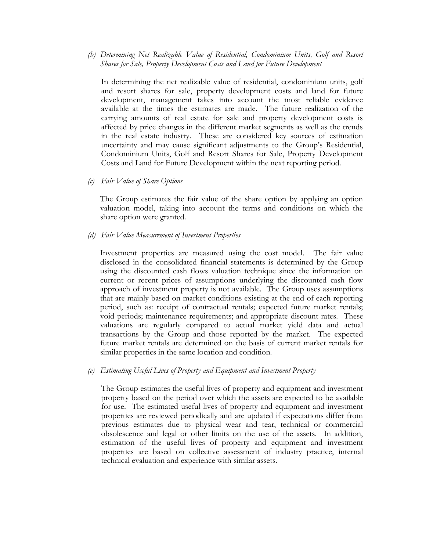*(b) Determining Net Realizable Value of Residential, Condominium Units, Golf and Resort Shares for Sale, Property Development Costs and Land for Future Development* 

In determining the net realizable value of residential, condominium units, golf and resort shares for sale, property development costs and land for future development, management takes into account the most reliable evidence available at the times the estimates are made. The future realization of the carrying amounts of real estate for sale and property development costs is affected by price changes in the different market segments as well as the trends in the real estate industry. These are considered key sources of estimation uncertainty and may cause significant adjustments to the Group's Residential, Condominium Units, Golf and Resort Shares for Sale, Property Development Costs and Land for Future Development within the next reporting period.

*(c) Fair Value of Share Options* 

The Group estimates the fair value of the share option by applying an option valuation model, taking into account the terms and conditions on which the share option were granted.

*(d) Fair Value Measurement of Investment Properties* 

Investment properties are measured using the cost model. The fair value disclosed in the consolidated financial statements is determined by the Group using the discounted cash flows valuation technique since the information on current or recent prices of assumptions underlying the discounted cash flow approach of investment property is not available. The Group uses assumptions that are mainly based on market conditions existing at the end of each reporting period, such as: receipt of contractual rentals; expected future market rentals; void periods; maintenance requirements; and appropriate discount rates. These valuations are regularly compared to actual market yield data and actual transactions by the Group and those reported by the market. The expected future market rentals are determined on the basis of current market rentals for similar properties in the same location and condition.

*(e) Estimating Useful Lives of Property and Equipment and Investment Property* 

The Group estimates the useful lives of property and equipment and investment property based on the period over which the assets are expected to be available for use. The estimated useful lives of property and equipment and investment properties are reviewed periodically and are updated if expectations differ from previous estimates due to physical wear and tear, technical or commercial obsolescence and legal or other limits on the use of the assets. In addition, estimation of the useful lives of property and equipment and investment properties are based on collective assessment of industry practice, internal technical evaluation and experience with similar assets.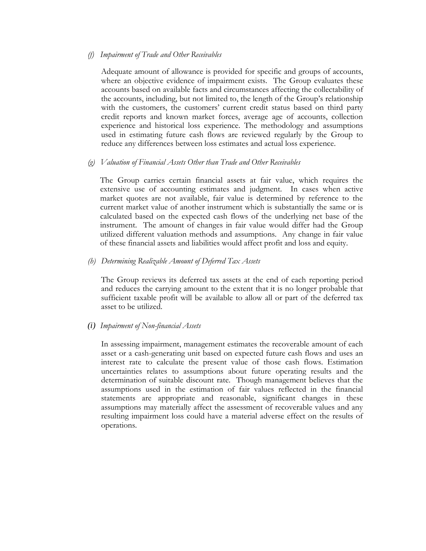#### *(f) Impairment of Trade and Other Receivables*

Adequate amount of allowance is provided for specific and groups of accounts, where an objective evidence of impairment exists. The Group evaluates these accounts based on available facts and circumstances affecting the collectability of the accounts, including, but not limited to, the length of the Group's relationship with the customers, the customers' current credit status based on third party credit reports and known market forces, average age of accounts, collection experience and historical loss experience. The methodology and assumptions used in estimating future cash flows are reviewed regularly by the Group to reduce any differences between loss estimates and actual loss experience.

#### *(g) Valuation of Financial Assets Other than Trade and Other Receivables*

The Group carries certain financial assets at fair value, which requires the extensive use of accounting estimates and judgment. In cases when active market quotes are not available, fair value is determined by reference to the current market value of another instrument which is substantially the same or is calculated based on the expected cash flows of the underlying net base of the instrument. The amount of changes in fair value would differ had the Group utilized different valuation methods and assumptions. Any change in fair value of these financial assets and liabilities would affect profit and loss and equity.

#### *(h) Determining Realizable Amount of Deferred Tax Assets*

The Group reviews its deferred tax assets at the end of each reporting period and reduces the carrying amount to the extent that it is no longer probable that sufficient taxable profit will be available to allow all or part of the deferred tax asset to be utilized.

#### *(i) Impairment of Non-financial Assets*

In assessing impairment, management estimates the recoverable amount of each asset or a cash-generating unit based on expected future cash flows and uses an interest rate to calculate the present value of those cash flows. Estimation uncertainties relates to assumptions about future operating results and the determination of suitable discount rate. Though management believes that the assumptions used in the estimation of fair values reflected in the financial statements are appropriate and reasonable, significant changes in these assumptions may materially affect the assessment of recoverable values and any resulting impairment loss could have a material adverse effect on the results of operations.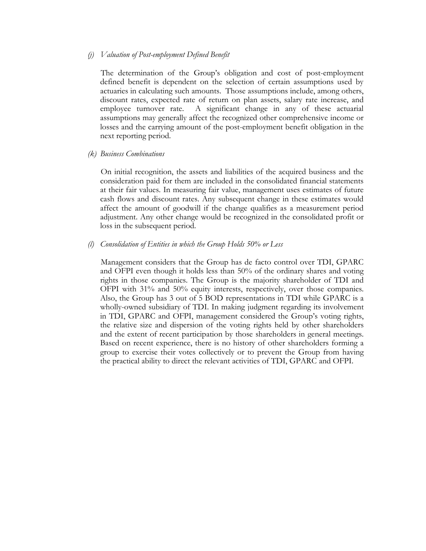#### *(j) Valuation of Post-employment Defined Benefit*

The determination of the Group's obligation and cost of post-employment defined benefit is dependent on the selection of certain assumptions used by actuaries in calculating such amounts. Those assumptions include, among others, discount rates, expected rate of return on plan assets, salary rate increase, and employee turnover rate. A significant change in any of these actuarial assumptions may generally affect the recognized other comprehensive income or losses and the carrying amount of the post-employment benefit obligation in the next reporting period.

*(k) Business Combinations* 

On initial recognition, the assets and liabilities of the acquired business and the consideration paid for them are included in the consolidated financial statements at their fair values. In measuring fair value, management uses estimates of future cash flows and discount rates. Any subsequent change in these estimates would affect the amount of goodwill if the change qualifies as a measurement period adjustment. Any other change would be recognized in the consolidated profit or loss in the subsequent period.

#### *(l) Consolidation of Entities in which the Group Holds 50% or Less*

Management considers that the Group has de facto control over TDI, GPARC and OFPI even though it holds less than 50% of the ordinary shares and voting rights in those companies. The Group is the majority shareholder of TDI and OFPI with 31% and 50% equity interests, respectively, over those companies. Also, the Group has 3 out of 5 BOD representations in TDI while GPARC is a wholly-owned subsidiary of TDI. In making judgment regarding its involvement in TDI, GPARC and OFPI, management considered the Group's voting rights, the relative size and dispersion of the voting rights held by other shareholders and the extent of recent participation by those shareholders in general meetings. Based on recent experience, there is no history of other shareholders forming a group to exercise their votes collectively or to prevent the Group from having the practical ability to direct the relevant activities of TDI, GPARC and OFPI.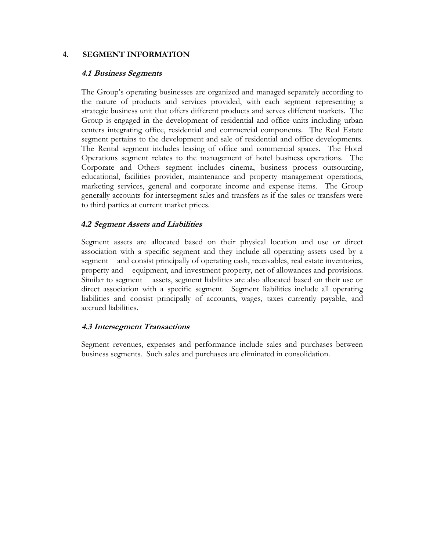#### **4. SEGMENT INFORMATION**

#### **4.1 Business Segments**

The Group's operating businesses are organized and managed separately according to the nature of products and services provided, with each segment representing a strategic business unit that offers different products and serves different markets. The Group is engaged in the development of residential and office units including urban centers integrating office, residential and commercial components. The Real Estate segment pertains to the development and sale of residential and office developments. The Rental segment includes leasing of office and commercial spaces. The Hotel Operations segment relates to the management of hotel business operations. The Corporate and Others segment includes cinema, business process outsourcing, educational, facilities provider, maintenance and property management operations, marketing services, general and corporate income and expense items. The Group generally accounts for intersegment sales and transfers as if the sales or transfers were to third parties at current market prices.

#### *4.2* **Segment Assets and Liabilities**

Segment assets are allocated based on their physical location and use or direct association with a specific segment and they include all operating assets used by a segment and consist principally of operating cash, receivables, real estate inventories, property and equipment, and investment property, net of allowances and provisions. Similar to segment assets, segment liabilities are also allocated based on their use or direct association with a specific segment. Segment liabilities include all operating liabilities and consist principally of accounts, wages, taxes currently payable, and accrued liabilities.

#### **4.3 Intersegment Transactions**

Segment revenues, expenses and performance include sales and purchases between business segments. Such sales and purchases are eliminated in consolidation.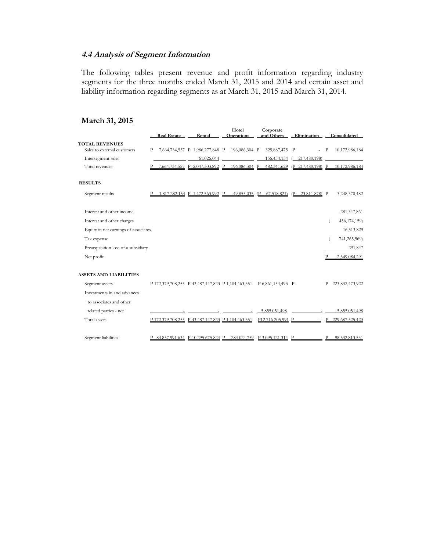#### **4.4 Analysis of Segment Information**

The following tables present revenue and profit information regarding industry segments for the three months ended March 31, 2015 and 2014 and certain asset and liability information regarding segments as at March 31, 2015 and March 31, 2014.

## **March 31, 2015**

|                                      |   | <b>Real Estate</b> | Rental                                                               | Hotel<br><b>Operations</b> |                 | Corporate<br>and Others       | Elimination                                |       | Consolidated                                               |
|--------------------------------------|---|--------------------|----------------------------------------------------------------------|----------------------------|-----------------|-------------------------------|--------------------------------------------|-------|------------------------------------------------------------|
| <b>TOTAL REVENUES</b>                |   |                    |                                                                      |                            |                 |                               |                                            |       |                                                            |
| Sales to external customers          | P |                    | 7,664,734,557 P 1,986,277,848 P 196,086,304 P                        |                            |                 | 325,887,475 P                 |                                            | $-$ P | 10,172,986,184                                             |
| Intersegment sales                   |   |                    | 61,026,044                                                           |                            | $\sim 10^{-10}$ | 156,454,154                   | 217,480,198)                               |       |                                                            |
| Total revenues                       |   |                    | 7.664.734.557 P 2.047.303.892 P                                      |                            |                 |                               |                                            |       | 196.086.304 P 482.341.629 (P 217.480.198) P 10.172.986.184 |
| <b>RESULTS</b>                       |   |                    |                                                                      |                            |                 |                               |                                            |       |                                                            |
| Segment results                      |   |                    | 1.817.282.154 P 1.472.563.992 P                                      |                            |                 |                               | 49.855.035 (P 67.518.821) (P 23.811.878) P |       | 3,248,370,482                                              |
| Interest and other income            |   |                    |                                                                      |                            |                 |                               |                                            |       | 281,347,861                                                |
| Interest and other charges           |   |                    |                                                                      |                            |                 |                               |                                            |       | 456,174,159)                                               |
| Equity in net earnings of associates |   |                    |                                                                      |                            |                 |                               |                                            |       | 16,513,829                                                 |
| Tax expense                          |   |                    |                                                                      |                            |                 |                               |                                            |       | 741,265,569)                                               |
| Preacquisition loss of a subsidiary  |   |                    |                                                                      |                            |                 |                               |                                            |       | 291,847                                                    |
| Net profit                           |   |                    |                                                                      |                            |                 |                               |                                            |       | 2,349,084,291                                              |
| <b>ASSETS AND LIABILITIES</b>        |   |                    |                                                                      |                            |                 |                               |                                            |       |                                                            |
| Segment assets                       |   |                    | P 172,379,708,255 P 43,487,147,823 P 1,104,463,351 P 6,861,154,493 P |                            |                 |                               |                                            |       | $- P$ 223,832,473,922                                      |
| Investments in and advances          |   |                    |                                                                      |                            |                 |                               |                                            |       |                                                            |
| to associates and other              |   |                    |                                                                      |                            |                 |                               |                                            |       |                                                            |
| related parties - net                |   |                    |                                                                      |                            | $\sim$          | 5,855,051,498                 |                                            |       | 5,855,051,498                                              |
| Total assets                         |   |                    | P 172.379.708.255 P 43.487.147.823 P 1.104.463.351                   |                            |                 | P12.716.205.991 P             |                                            | P     | 229,687,525,420                                            |
| Segment liabilities                  |   |                    | P 84.857.991.634 P 10.295.675.824 P                                  |                            |                 | 284.024.759 P 3,095,121,314 P |                                            |       | $- P$ 98.532.813.531                                       |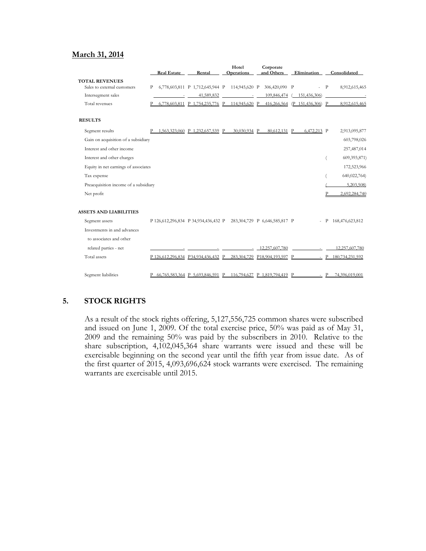#### **March 31, 2014**

|                                       | <b>Real Estate</b> | Rental                                                      | Hotel<br><b>Operations</b> | Corporate<br>and Others       | Elimination                   | Consolidated             |
|---------------------------------------|--------------------|-------------------------------------------------------------|----------------------------|-------------------------------|-------------------------------|--------------------------|
| <b>TOTAL REVENUES</b>                 |                    |                                                             |                            |                               |                               |                          |
| Sales to external customers           | P                  | 6,778,603,811 P 1,712,645,944 P 114,945,620 P 306,420,090 P |                            |                               |                               | $-$ P<br>8,912,615,465   |
| Intersegment sales                    |                    | 41,589,832                                                  | $\sim$ 100 $\sim$          | 109,846,474                   | 151,436,306)                  |                          |
| Total revenues                        |                    | 6,778,603,811 P 1,754,235,776 P                             | 114,945,620 P              |                               | 416,266,564 (P 151,436,306) P | 8,912,615,465            |
| <b>RESULTS</b>                        |                    |                                                             |                            |                               |                               |                          |
| Segment results                       |                    | 1,563,323,060 P 1,232,657,539 P                             | 30,030,934 P               | 80,612,131 P                  | 6,472,213 P                   | 2,913,095,877            |
| Gain on acquisition of a subsidiary   |                    |                                                             |                            |                               |                               | 603,798,026              |
| Interest and other income             |                    |                                                             |                            |                               |                               | 257,487,014              |
| Interest and other charges            |                    |                                                             |                            |                               |                               | 609,393,871)             |
| Equity in net earnings of associates  |                    |                                                             |                            |                               |                               | 172,523,966              |
| Tax expense                           |                    |                                                             |                            |                               |                               | 640,022,764)             |
| Preacquisition income of a subsidiary |                    |                                                             |                            |                               |                               | 5,203,508)               |
| Net profit                            |                    |                                                             |                            |                               |                               | 2,692,284,740            |
| <b>ASSETS AND LIABILITIES</b>         |                    |                                                             |                            |                               |                               |                          |
| Segment assets                        |                    | P 126,612,296,834 P 34,934,436,432 P                        |                            | 283,304,729 P 6,646,585,817 P |                               | 168,476,623,812<br>$-$ P |
| Investments in and advances           |                    |                                                             |                            |                               |                               |                          |
| to associates and other               |                    |                                                             |                            |                               |                               |                          |
| related parties - net                 |                    |                                                             |                            | 12,257,607,780                |                               | 12,257,607,780           |
| Total assets                          |                    | P 126.612.296.834 P 34.934.436.432 P                        |                            | 283.304.729 P18.904.193.597 P |                               | P 180,734,231,592        |
| Segment liabilities                   |                    | P 66.765.583.364 P 5.693.846.591 P                          |                            | 116,794,627 P 1,819,794,419 P |                               | 74,396,019,001<br>$-$ P  |

#### **5. STOCK RIGHTS**

As a result of the stock rights offering, 5,127,556,725 common shares were subscribed and issued on June 1, 2009. Of the total exercise price, 50% was paid as of May 31, 2009 and the remaining 50% was paid by the subscribers in 2010. Relative to the share subscription, 4,102,045,364 share warrants were issued and these will be exercisable beginning on the second year until the fifth year from issue date. As of the first quarter of 2015, 4,093,696,624 stock warrants were exercised. The remaining warrants are exercisable until 2015.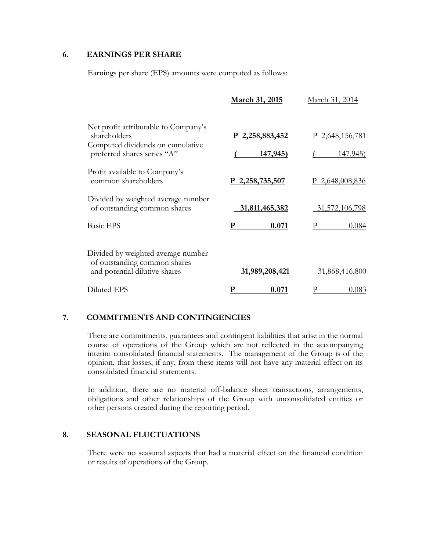#### **6. EARNINGS PER SHARE**

Earnings per share (EPS) amounts were computed as follows:

|                                                                                                     | March 31, 2015    | March 31, 2014    |
|-----------------------------------------------------------------------------------------------------|-------------------|-------------------|
| Net profit attributable to Company's<br>shareholders                                                | P 2,258,883,452   | P 2,648,156,781   |
| Computed dividends on cumulative<br>preferred shares series "A"                                     | <u>147,945)</u>   | <u>147,945)</u>   |
| Profit available to Company's<br>common shareholders                                                | $P$ 2,258,735,507 | $P$ 2,648,008,836 |
| Divided by weighted average number<br>of outstanding common shares                                  | 31,811,465,382    | 31,572,106,798    |
| <b>Basic EPS</b>                                                                                    | 0.071             | 0.084             |
| Divided by weighted average number<br>of outstanding common shares<br>and potential dilutive shares | 31,989,208,421    | 31,868,416,800    |
| Diluted EPS                                                                                         | 0.071             | 0.083             |

#### **7. COMMITMENTS AND CONTINGENCIES**

There are commitments, guarantees and contingent liabilities that arise in the normal course of operations of the Group which are not reflected in the accompanying interim consolidated financial statements. The management of the Group is of the opinion, that losses, if any, from these items will not have any material effect on its consolidated financial statements.

In addition, there are no material off-balance sheet transactions, arrangements, obligations and other relationships of the Group with unconsolidated entities or other persons created during the reporting period.

#### **8. SEASONAL FLUCTUATIONS**

 There were no seasonal aspects that had a material effect on the financial condition or results of operations of the Group.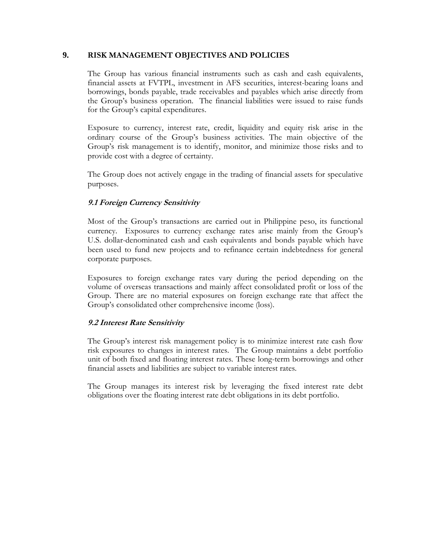#### **9. RISK MANAGEMENT OBJECTIVES AND POLICIES**

The Group has various financial instruments such as cash and cash equivalents, financial assets at FVTPL, investment in AFS securities, interest-bearing loans and borrowings, bonds payable, trade receivables and payables which arise directly from the Group's business operation. The financial liabilities were issued to raise funds for the Group's capital expenditures.

Exposure to currency, interest rate, credit, liquidity and equity risk arise in the ordinary course of the Group's business activities. The main objective of the Group's risk management is to identify, monitor, and minimize those risks and to provide cost with a degree of certainty.

The Group does not actively engage in the trading of financial assets for speculative purposes.

## **9.1 Foreign Currency Sensitivity**

Most of the Group's transactions are carried out in Philippine peso, its functional currency. Exposures to currency exchange rates arise mainly from the Group's U.S. dollar-denominated cash and cash equivalents and bonds payable which have been used to fund new projects and to refinance certain indebtedness for general corporate purposes.

Exposures to foreign exchange rates vary during the period depending on the volume of overseas transactions and mainly affect consolidated profit or loss of the Group. There are no material exposures on foreign exchange rate that affect the Group's consolidated other comprehensive income (loss).

#### **9.2 Interest Rate Sensitivity**

The Group's interest risk management policy is to minimize interest rate cash flow risk exposures to changes in interest rates. The Group maintains a debt portfolio unit of both fixed and floating interest rates. These long-term borrowings and other financial assets and liabilities are subject to variable interest rates.

The Group manages its interest risk by leveraging the fixed interest rate debt obligations over the floating interest rate debt obligations in its debt portfolio.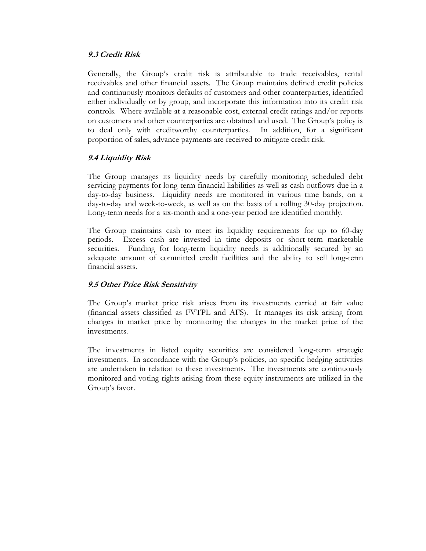#### **9.3 Credit Risk**

Generally, the Group's credit risk is attributable to trade receivables, rental receivables and other financial assets. The Group maintains defined credit policies and continuously monitors defaults of customers and other counterparties, identified either individually or by group, and incorporate this information into its credit risk controls. Where available at a reasonable cost, external credit ratings and/or reports on customers and other counterparties are obtained and used. The Group's policy is to deal only with creditworthy counterparties. In addition, for a significant proportion of sales, advance payments are received to mitigate credit risk.

#### **9.4 Liquidity Risk**

The Group manages its liquidity needs by carefully monitoring scheduled debt servicing payments for long-term financial liabilities as well as cash outflows due in a day-to-day business. Liquidity needs are monitored in various time bands, on a day-to-day and week-to-week, as well as on the basis of a rolling 30-day projection. Long-term needs for a six-month and a one-year period are identified monthly.

The Group maintains cash to meet its liquidity requirements for up to 60-day periods. Excess cash are invested in time deposits or short-term marketable securities. Funding for long-term liquidity needs is additionally secured by an adequate amount of committed credit facilities and the ability to sell long-term financial assets.

#### **9.5 Other Price Risk Sensitivity**

The Group's market price risk arises from its investments carried at fair value (financial assets classified as FVTPL and AFS). It manages its risk arising from changes in market price by monitoring the changes in the market price of the investments.

The investments in listed equity securities are considered long-term strategic investments. In accordance with the Group's policies, no specific hedging activities are undertaken in relation to these investments. The investments are continuously monitored and voting rights arising from these equity instruments are utilized in the Group's favor.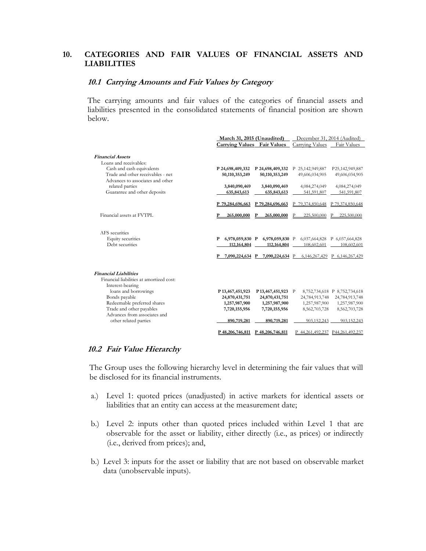#### **10. CATEGORIES AND FAIR VALUES OF FINANCIAL ASSETS AND LIABILITIES**

#### **10.1 Carrying Amounts and Fair Values by Category**

The carrying amounts and fair values of the categories of financial assets and liabilities presented in the consolidated statements of financial position are shown below.

|                                          | March 31, 2015 (Unaudited)<br><b>Carrying Values</b> Fair Values |     | December 31, 2014 (Audited)<br>Carrying Values | Fair Values                      |
|------------------------------------------|------------------------------------------------------------------|-----|------------------------------------------------|----------------------------------|
| <b>Financial Assets</b>                  |                                                                  |     |                                                |                                  |
| Loans and receivables:                   |                                                                  |     |                                                |                                  |
| Cash and cash equivalents                | P 24,698,409,332 P 24,698,409,332                                |     | P 25, 142, 949, 887                            | P25,142,949,887                  |
| Trade and other receivables - net        | 50,110,353,249<br>50,110,353,249                                 |     | 49,606,034,905                                 | 49,606,034,905                   |
| Advances to associates and other         |                                                                  |     |                                                |                                  |
| related parties                          | 3,840,090,469<br>3,840,090,469                                   |     | 4,084,274,049                                  | 4,084,274,049                    |
| Guarantee and other deposits             | 635,843,613<br>635,843,613                                       |     | 541,591,807                                    | 541,591,807                      |
|                                          |                                                                  |     |                                                |                                  |
|                                          | P 79,284,696,663<br>P 79,284,696,663                             |     | 79,374,850,648<br>P                            | P 79,374,850,648                 |
|                                          |                                                                  |     |                                                |                                  |
| Financial assets at FVTPL                | 265,000,000<br>265,000,000                                       |     | 225,500,000                                    | 225,500,000                      |
|                                          |                                                                  |     |                                                |                                  |
|                                          |                                                                  |     |                                                |                                  |
| AFS securities                           |                                                                  |     |                                                |                                  |
| Equity securities                        | P<br>6,978,059,830 P 6,978,059,830 P                             |     |                                                | 6,037,664,828 P 6,037,664,828    |
| Debt securities                          | 112, 164, 804<br>112, 164, 804                                   |     | 108,602,601                                    | 108,602,601                      |
|                                          | 7,090,224,634 P<br>7,090,224,634 P                               |     |                                                | 6,146,267,429 P 6,146,267,429    |
|                                          |                                                                  |     |                                                |                                  |
| <b>Financial Liabilities</b>             |                                                                  |     |                                                |                                  |
| Financial liabilities at amortized cost: |                                                                  |     |                                                |                                  |
| Interest-bearing                         |                                                                  |     |                                                |                                  |
| loans and borrowings                     | P13,467,451,923<br>P 13,467,451,923                              | – P |                                                | 8,752,734,618 P 8,752,734,618    |
| Bonds payable                            | 24,870,431,751<br>24,870,431,751                                 |     | 24,784,913,748                                 | 24,784,913,748                   |
| Redeemable preferred shares              | 1,257,987,900<br>1,257,987,900                                   |     | 1,257,987,900                                  | 1,257,987,900                    |
| Trade and other payables                 | 7,720,155,956<br>7,720,155,956                                   |     | 8,562,703,728                                  | 8,562,703,728                    |
| Advances from associates and             |                                                                  |     |                                                |                                  |
| other related parties                    | 890,719,281<br>890,719,281                                       |     | 903,152,243                                    | 903,152,243                      |
|                                          | P48,206,746,811<br>P 48,206,746,811                              |     |                                                | P 44,261,492,237 P44,261,492,237 |
|                                          |                                                                  |     |                                                |                                  |

#### **10.2 Fair Value Hierarchy**

The Group uses the following hierarchy level in determining the fair values that will be disclosed for its financial instruments.

- a.) Level 1: quoted prices (unadjusted) in active markets for identical assets or liabilities that an entity can access at the measurement date;
- b.) Level 2: inputs other than quoted prices included within Level 1 that are observable for the asset or liability, either directly (i.e., as prices) or indirectly (i.e., derived from prices); and,
- b.) Level 3: inputs for the asset or liability that are not based on observable market data (unobservable inputs).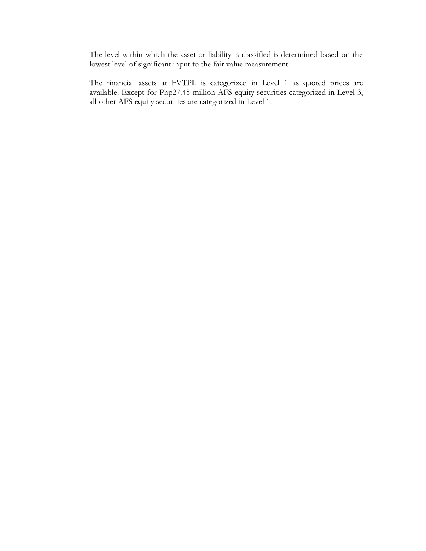The level within which the asset or liability is classified is determined based on the lowest level of significant input to the fair value measurement.

The financial assets at FVTPL is categorized in Level 1 as quoted prices are available. Except for Php27.45 million AFS equity securities categorized in Level 3, all other AFS equity securities are categorized in Level 1.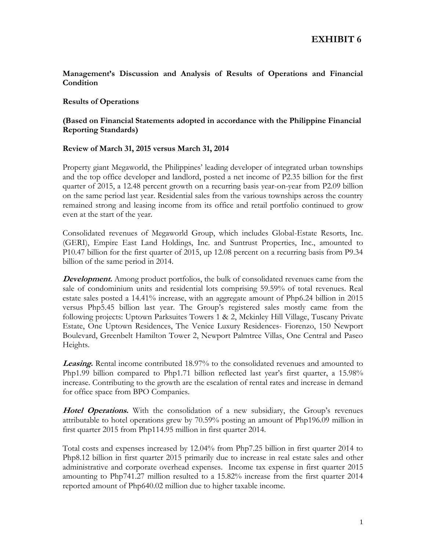**EXHIBIT 6**

#### **Management's Discussion and Analysis of Results of Operations and Financial Condition**

#### **Results of Operations**

#### **(Based on Financial Statements adopted in accordance with the Philippine Financial Reporting Standards)**

#### **Review of March 31, 2015 versus March 31, 2014**

Property giant Megaworld, the Philippines' leading developer of integrated urban townships and the top office developer and landlord, posted a net income of P2.35 billion for the first quarter of 2015, a 12.48 percent growth on a recurring basis year-on-year from P2.09 billion on the same period last year. Residential sales from the various townships across the country remained strong and leasing income from its office and retail portfolio continued to grow even at the start of the year.

Consolidated revenues of Megaworld Group, which includes Global-Estate Resorts, Inc. (GERI), Empire East Land Holdings, Inc. and Suntrust Properties, Inc., amounted to P10.47 billion for the first quarter of 2015, up 12.08 percent on a recurring basis from P9.34 billion of the same period in 2014.

**Development.** Among product portfolios, the bulk of consolidated revenues came from the sale of condominium units and residential lots comprising 59.59% of total revenues. Real estate sales posted a 14.41% increase, with an aggregate amount of Php6.24 billion in 2015 versus Php5.45 billion last year. The Group's registered sales mostly came from the following projects: Uptown Parksuites Towers 1 & 2, Mckinley Hill Village, Tuscany Private Estate, One Uptown Residences, The Venice Luxury Residences- Fiorenzo, 150 Newport Boulevard, Greenbelt Hamilton Tower 2, Newport Palmtree Villas, One Central and Paseo Heights.

**Leasing.** Rental income contributed 18.97% to the consolidated revenues and amounted to Php1.99 billion compared to Php1.71 billion reflected last year's first quarter, a 15.98% increase. Contributing to the growth are the escalation of rental rates and increase in demand for office space from BPO Companies.

**Hotel Operations.** With the consolidation of a new subsidiary, the Group's revenues attributable to hotel operations grew by 70.59% posting an amount of Php196.09 million in first quarter 2015 from Php114.95 million in first quarter 2014.

Total costs and expenses increased by 12.04% from Php7.25 billion in first quarter 2014 to Php8.12 billion in first quarter 2015 primarily due to increase in real estate sales and other administrative and corporate overhead expenses. Income tax expense in first quarter 2015 amounting to Php741.27 million resulted to a 15.82% increase from the first quarter 2014 reported amount of Php640.02 million due to higher taxable income.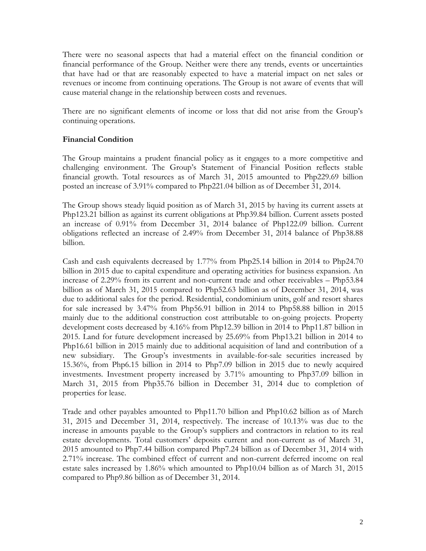There were no seasonal aspects that had a material effect on the financial condition or financial performance of the Group. Neither were there any trends, events or uncertainties that have had or that are reasonably expected to have a material impact on net sales or revenues or income from continuing operations. The Group is not aware of events that will cause material change in the relationship between costs and revenues.

There are no significant elements of income or loss that did not arise from the Group's continuing operations.

#### **Financial Condition**

The Group maintains a prudent financial policy as it engages to a more competitive and challenging environment. The Group's Statement of Financial Position reflects stable financial growth. Total resources as of March 31, 2015 amounted to Php229.69 billion posted an increase of 3.91% compared to Php221.04 billion as of December 31, 2014.

The Group shows steady liquid position as of March 31, 2015 by having its current assets at Php123.21 billion as against its current obligations at Php39.84 billion. Current assets posted an increase of 0.91% from December 31, 2014 balance of Php122.09 billion. Current obligations reflected an increase of 2.49% from December 31, 2014 balance of Php38.88 billion.

Cash and cash equivalents decreased by 1.77% from Php25.14 billion in 2014 to Php24.70 billion in 2015 due to capital expenditure and operating activities for business expansion. An increase of 2.29% from its current and non-current trade and other receivables – Php53.84 billion as of March 31, 2015 compared to Php52.63 billion as of December 31, 2014, was due to additional sales for the period. Residential, condominium units, golf and resort shares for sale increased by 3.47% from Php56.91 billion in 2014 to Php58.88 billion in 2015 mainly due to the additional construction cost attributable to on-going projects. Property development costs decreased by 4.16% from Php12.39 billion in 2014 to Php11.87 billion in 2015. Land for future development increased by 25.69% from Php13.21 billion in 2014 to Php16.61 billion in 2015 mainly due to additional acquisition of land and contribution of a new subsidiary. The Group's investments in available-for-sale securities increased by 15.36%, from Php6.15 billion in 2014 to Php7.09 billion in 2015 due to newly acquired investments. Investment property increased by 3.71% amounting to Php37.09 billion in March 31, 2015 from Php35.76 billion in December 31, 2014 due to completion of properties for lease.

Trade and other payables amounted to Php11.70 billion and Php10.62 billion as of March 31, 2015 and December 31, 2014, respectively. The increase of 10.13% was due to the increase in amounts payable to the Group's suppliers and contractors in relation to its real estate developments. Total customers' deposits current and non-current as of March 31, 2015 amounted to Php7.44 billion compared Php7.24 billion as of December 31, 2014 with 2.71% increase. The combined effect of current and non-current deferred income on real estate sales increased by 1.86% which amounted to Php10.04 billion as of March 31, 2015 compared to Php9.86 billion as of December 31, 2014.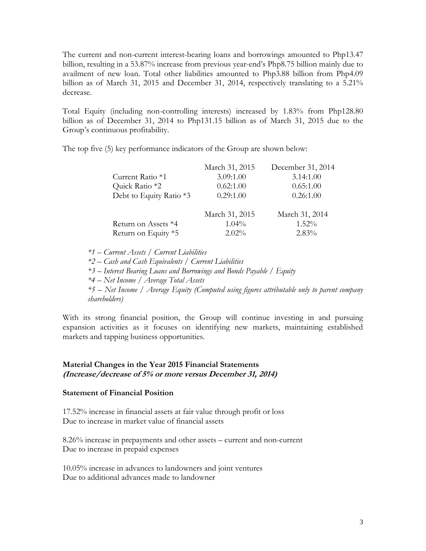The current and non-current interest-bearing loans and borrowings amounted to Php13.47 billion, resulting in a 53.87% increase from previous year-end's Php8.75 billion mainly due to availment of new loan. Total other liabilities amounted to Php3.88 billion from Php4.09 billion as of March 31, 2015 and December 31, 2014, respectively translating to a 5.21% decrease.

Total Equity (including non-controlling interests) increased by 1.83% from Php128.80 billion as of December 31, 2014 to Php131.15 billion as of March 31, 2015 due to the Group's continuous profitability.

The top five (5) key performance indicators of the Group are shown below:

|                         | March 31, 2015 | December 31, 2014 |
|-------------------------|----------------|-------------------|
| Current Ratio *1        | 3.09:1.00      | 3.14:1.00         |
| Quick Ratio *2          | 0.62:1.00      | 0.65:1.00         |
| Debt to Equity Ratio *3 | 0.29:1.00      | 0.26:1.00         |
|                         | March 31, 2015 | March 31, 2014    |
| Return on Assets *4     | $1.04\%$       | $1.52\%$          |
| Return on Equity *5     | $2.02\%$       | $2.83\%$          |

*\*1 – Current Assets / Current Liabilities \*2 – Cash and Cash Equivalents / Current Liabilities \*3 – Interest Bearing Loans and Borrowings and Bonds Payable / Equity \*4 – Net Income / Average Total Assets \*5 – Net Income / Average Equity (Computed using figures attributable only to parent company shareholders)*

With its strong financial position, the Group will continue investing in and pursuing expansion activities as it focuses on identifying new markets, maintaining established markets and tapping business opportunities.

#### **Material Changes in the Year 2015 Financial Statements (Increase/decrease of 5% or more versus December 31, 2014)**

#### **Statement of Financial Position**

17.52% increase in financial assets at fair value through profit or loss Due to increase in market value of financial assets

8.26% increase in prepayments and other assets – current and non-current Due to increase in prepaid expenses

10.05% increase in advances to landowners and joint ventures Due to additional advances made to landowner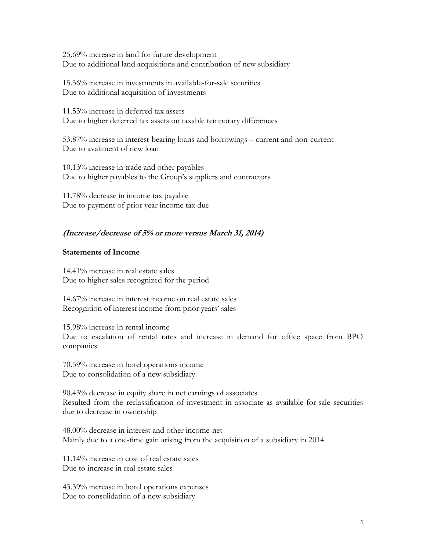25.69% increase in land for future development Due to additional land acquisitions and contribution of new subsidiary

15.36% increase in investments in available-for-sale securities Due to additional acquisition of investments

11.53% increase in deferred tax assets Due to higher deferred tax assets on taxable temporary differences

53.87% increase in interest-bearing loans and borrowings – current and non-current Due to availment of new loan

10.13% increase in trade and other payables Due to higher payables to the Group's suppliers and contractors

11.78% decrease in income tax payable Due to payment of prior year income tax due

#### **(Increase/decrease of 5% or more versus March 31, 2014)**

#### **Statements of Income**

14.41% increase in real estate sales Due to higher sales recognized for the period

14.67% increase in interest income on real estate sales Recognition of interest income from prior years' sales

15.98% increase in rental income Due to escalation of rental rates and increase in demand for office space from BPO companies

70.59% increase in hotel operations income Due to consolidation of a new subsidiary

90.43% decrease in equity share in net earnings of associates Resulted from the reclassification of investment in associate as available-for-sale securities due to decrease in ownership

48.00% decrease in interest and other income-net Mainly due to a one-time gain arising from the acquisition of a subsidiary in 2014

11.14% increase in cost of real estate sales Due to increase in real estate sales

43.39% increase in hotel operations expenses Due to consolidation of a new subsidiary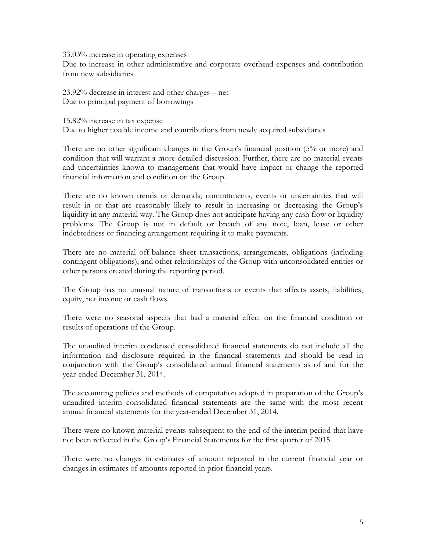33.03% increase in operating expenses

Due to increase in other administrative and corporate overhead expenses and contribution from new subsidiaries

23.92% decrease in interest and other charges – net Due to principal payment of borrowings

15.82% increase in tax expense

Due to higher taxable income and contributions from newly acquired subsidiaries

There are no other significant changes in the Group's financial position (5% or more) and condition that will warrant a more detailed discussion. Further, there are no material events and uncertainties known to management that would have impact or change the reported financial information and condition on the Group.

There are no known trends or demands, commitments, events or uncertainties that will result in or that are reasonably likely to result in increasing or decreasing the Group's liquidity in any material way. The Group does not anticipate having any cash flow or liquidity problems. The Group is not in default or breach of any note, loan, lease or other indebtedness or financing arrangement requiring it to make payments.

There are no material off-balance sheet transactions, arrangements, obligations (including contingent obligations), and other relationships of the Group with unconsolidated entities or other persons created during the reporting period.

The Group has no unusual nature of transactions or events that affects assets, liabilities, equity, net income or cash flows.

There were no seasonal aspects that had a material effect on the financial condition or results of operations of the Group.

The unaudited interim condensed consolidated financial statements do not include all the information and disclosure required in the financial statements and should be read in conjunction with the Group's consolidated annual financial statements as of and for the year-ended December 31, 2014.

The accounting policies and methods of computation adopted in preparation of the Group's unaudited interim consolidated financial statements are the same with the most recent annual financial statements for the year-ended December 31, 2014.

There were no known material events subsequent to the end of the interim period that have not been reflected in the Group's Financial Statements for the first quarter of 2015.

There were no changes in estimates of amount reported in the current financial year or changes in estimates of amounts reported in prior financial years.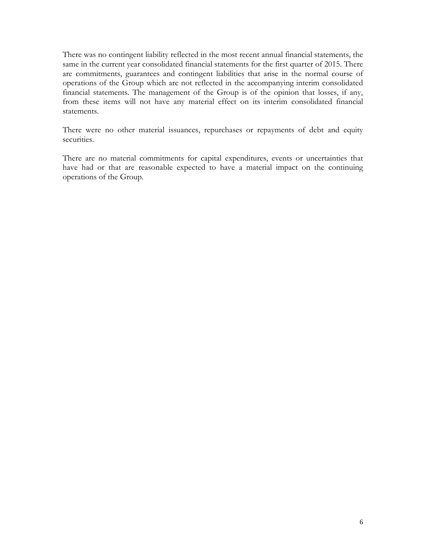There was no contingent liability reflected in the most recent annual financial statements, the same in the current year consolidated financial statements for the first quarter of 2015. There are commitments, guarantees and contingent liabilities that arise in the normal course of operations of the Group which are not reflected in the accompanying interim consolidated financial statements. The management of the Group is of the opinion that losses, if any, from these items will not have any material effect on its interim consolidated financial statements.

There were no other material issuances, repurchases or repayments of debt and equity securities.

There are no material commitments for capital expenditures, events or uncertainties that have had or that are reasonable expected to have a material impact on the continuing operations of the Group.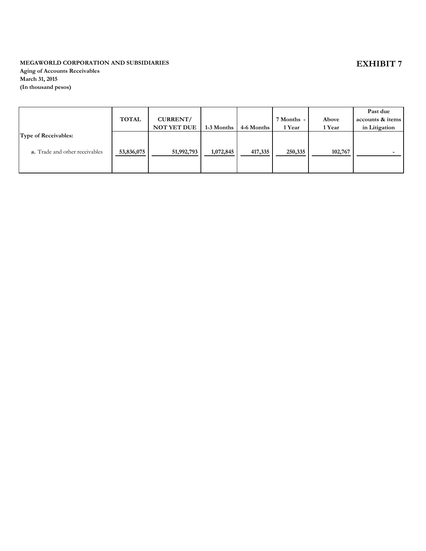#### **MEGAWORLD CORPORATION AND SUBSIDIARIES**

**Aging of Accounts Receivables March 31, 2015 (In thousand pesos)**

|                                       |              |                    |            |            |            |         | Past due         |
|---------------------------------------|--------------|--------------------|------------|------------|------------|---------|------------------|
|                                       | <b>TOTAL</b> | CURRENT/           |            |            | 7 Months - | Above   | accounts & items |
|                                       |              | <b>NOT YET DUE</b> | 1-3 Months | 4-6 Months | 1 Year     | 1 Year  | in Litigation    |
| <b>Type of Receivables:</b>           |              |                    |            |            |            |         |                  |
|                                       |              |                    |            |            |            |         |                  |
| <b>a.</b> Trade and other receivables | 53,836,075   | 51,992,793         | 1,072,845  | 417,335    | 250,335    | 102,767 |                  |
|                                       |              |                    |            |            |            |         |                  |
|                                       |              |                    |            |            |            |         |                  |

## **EXHIBIT 7**